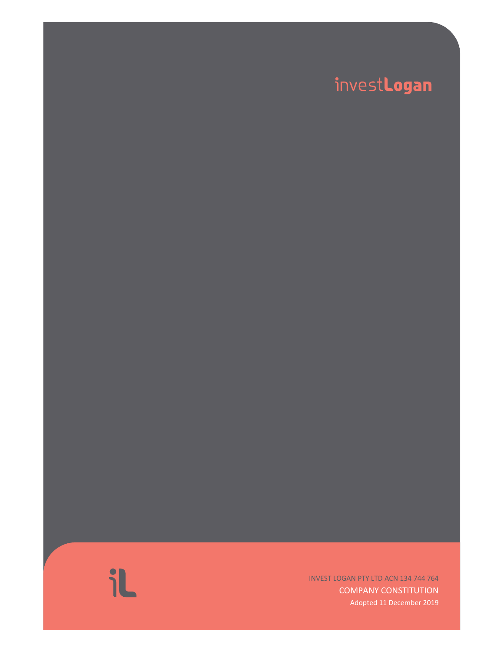

INVEST LOGAN PTY LTD ACN 134 744 764 COMPANY CONSTITUTION Adopted 11 December 2019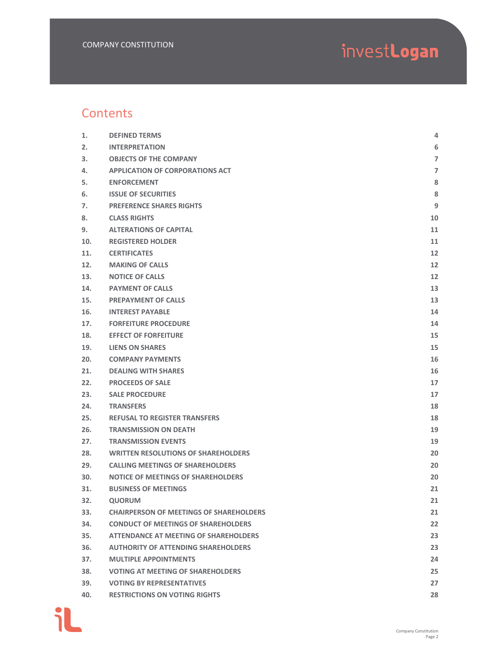### **Contents**

| 1.  | <b>DEFINED TERMS</b>                           | 4              |
|-----|------------------------------------------------|----------------|
| 2.  | <b>INTERPRETATION</b>                          | 6              |
| 3.  | <b>OBJECTS OF THE COMPANY</b>                  | $\overline{7}$ |
| 4.  | <b>APPLICATION OF CORPORATIONS ACT</b>         | $\overline{7}$ |
| 5.  | <b>ENFORCEMENT</b>                             | 8              |
| 6.  | <b>ISSUE OF SECURITIES</b>                     | 8              |
| 7.  | <b>PREFERENCE SHARES RIGHTS</b>                | 9              |
| 8.  | <b>CLASS RIGHTS</b>                            | 10             |
| 9.  | <b>ALTERATIONS OF CAPITAL</b>                  | 11             |
| 10. | <b>REGISTERED HOLDER</b>                       | 11             |
| 11. | <b>CERTIFICATES</b>                            | 12             |
| 12. | <b>MAKING OF CALLS</b>                         | 12             |
| 13. | <b>NOTICE OF CALLS</b>                         | 12             |
| 14. | <b>PAYMENT OF CALLS</b>                        | 13             |
| 15. | <b>PREPAYMENT OF CALLS</b>                     | 13             |
| 16. | <b>INTEREST PAYABLE</b>                        | 14             |
| 17. | <b>FORFEITURE PROCEDURE</b>                    | 14             |
| 18. | <b>EFFECT OF FORFEITURE</b>                    | 15             |
| 19. | <b>LIENS ON SHARES</b>                         | 15             |
| 20. | <b>COMPANY PAYMENTS</b>                        | 16             |
| 21. | <b>DEALING WITH SHARES</b>                     | 16             |
| 22. | <b>PROCEEDS OF SALE</b>                        | 17             |
| 23. | <b>SALE PROCEDURE</b>                          | 17             |
| 24. | <b>TRANSFERS</b>                               | 18             |
| 25. | <b>REFUSAL TO REGISTER TRANSFERS</b>           | 18             |
| 26. | <b>TRANSMISSION ON DEATH</b>                   | 19             |
| 27. | <b>TRANSMISSION EVENTS</b>                     | 19             |
| 28. | <b>WRITTEN RESOLUTIONS OF SHAREHOLDERS</b>     | 20             |
| 29. | <b>CALLING MEETINGS OF SHAREHOLDERS</b>        | 20             |
| 30. | <b>NOTICE OF MEETINGS OF SHAREHOLDERS</b>      | 20             |
| 31. | <b>BUSINESS OF MEETINGS</b>                    | 21             |
| 32. | <b>QUORUM</b>                                  | 21             |
| 33. | <b>CHAIRPERSON OF MEETINGS OF SHAREHOLDERS</b> | 21             |
| 34. | <b>CONDUCT OF MEETINGS OF SHAREHOLDERS</b>     | 22             |
| 35. | <b>ATTENDANCE AT MEETING OF SHAREHOLDERS</b>   | 23             |
| 36. | <b>AUTHORITY OF ATTENDING SHAREHOLDERS</b>     | 23             |
| 37. | <b>MULTIPLE APPOINTMENTS</b>                   | 24             |
| 38. | <b>VOTING AT MEETING OF SHAREHOLDERS</b>       | 25             |
| 39. | <b>VOTING BY REPRESENTATIVES</b>               | 27             |
| 40. | <b>RESTRICTIONS ON VOTING RIGHTS</b>           | 28             |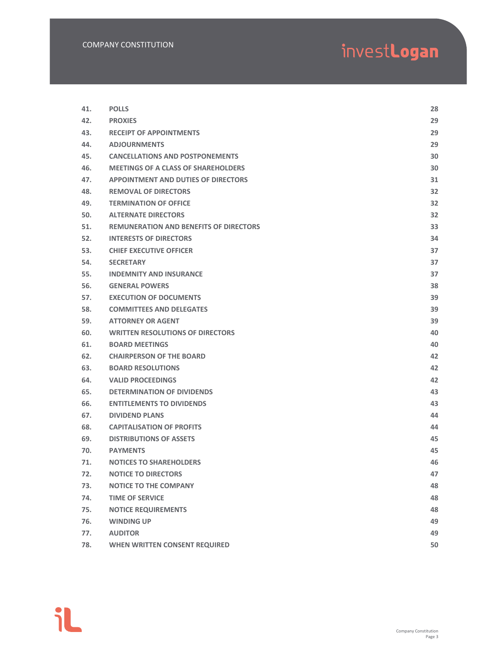| 41. | <b>POLLS</b>                                  | 28 |
|-----|-----------------------------------------------|----|
| 42. | <b>PROXIES</b>                                | 29 |
| 43. | <b>RECEIPT OF APPOINTMENTS</b>                | 29 |
| 44. | <b>ADJOURNMENTS</b>                           | 29 |
| 45. | <b>CANCELLATIONS AND POSTPONEMENTS</b>        | 30 |
| 46. | <b>MEETINGS OF A CLASS OF SHAREHOLDERS</b>    | 30 |
| 47. | <b>APPOINTMENT AND DUTIES OF DIRECTORS</b>    | 31 |
| 48. | <b>REMOVAL OF DIRECTORS</b>                   | 32 |
| 49. | <b>TERMINATION OF OFFICE</b>                  | 32 |
| 50. | <b>ALTERNATE DIRECTORS</b>                    | 32 |
| 51. | <b>REMUNERATION AND BENEFITS OF DIRECTORS</b> | 33 |
| 52. | <b>INTERESTS OF DIRECTORS</b>                 | 34 |
| 53. | <b>CHIEF EXECUTIVE OFFICER</b>                | 37 |
| 54. | <b>SECRETARY</b>                              | 37 |
| 55. | <b>INDEMNITY AND INSURANCE</b>                | 37 |
| 56. | <b>GENERAL POWERS</b>                         | 38 |
| 57. | <b>EXECUTION OF DOCUMENTS</b>                 | 39 |
| 58. | <b>COMMITTEES AND DELEGATES</b>               | 39 |
| 59. | <b>ATTORNEY OR AGENT</b>                      | 39 |
| 60. | <b>WRITTEN RESOLUTIONS OF DIRECTORS</b>       | 40 |
| 61. | <b>BOARD MEETINGS</b>                         | 40 |
| 62. | <b>CHAIRPERSON OF THE BOARD</b>               | 42 |
| 63. | <b>BOARD RESOLUTIONS</b>                      | 42 |
| 64. | <b>VALID PROCEEDINGS</b>                      | 42 |
| 65. | <b>DETERMINATION OF DIVIDENDS</b>             | 43 |
| 66. | <b>ENTITLEMENTS TO DIVIDENDS</b>              | 43 |
| 67. | <b>DIVIDEND PLANS</b>                         | 44 |
| 68. | <b>CAPITALISATION OF PROFITS</b>              | 44 |
| 69. | <b>DISTRIBUTIONS OF ASSETS</b>                | 45 |
| 70. | <b>PAYMENTS</b>                               | 45 |
| 71. | <b>NOTICES TO SHAREHOLDERS</b>                | 46 |
| 72. | <b>NOTICE TO DIRECTORS</b>                    | 47 |
| 73. | <b>NOTICE TO THE COMPANY</b>                  | 48 |
| 74. | <b>TIME OF SERVICE</b>                        | 48 |
| 75. | <b>NOTICE REQUIREMENTS</b>                    | 48 |
| 76. | <b>WINDING UP</b>                             | 49 |
| 77. | <b>AUDITOR</b>                                | 49 |
| 78. | <b>WHEN WRITTEN CONSENT REQUIRED</b>          | 50 |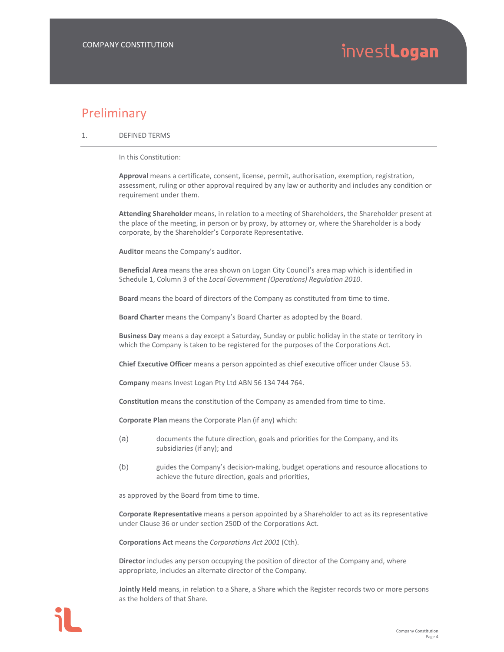### Preliminary

#### 1. DEFINED TERMS

In this Constitution:

**Approval** means a certificate, consent, license, permit, authorisation, exemption, registration, assessment, ruling or other approval required by any law or authority and includes any condition or requirement under them.

**Attending Shareholder** means, in relation to a meeting of Shareholders, the Shareholder present at the place of the meeting, in person or by proxy, by attorney or, where the Shareholder is a body corporate, by the Shareholder's Corporate Representative.

**Auditor** means the Company's auditor.

**Beneficial Area** means the area shown on Logan City Council's area map which is identified in Schedule 1, Column 3 of the *Local Government (Operations) Regulation 2010*.

**Board** means the board of directors of the Company as constituted from time to time.

**Board Charter** means the Company's Board Charter as adopted by the Board.

**Business Day** means a day except a Saturday, Sunday or public holiday in the state or territory in which the Company is taken to be registered for the purposes of the Corporations Act.

**Chief Executive Officer** means a person appointed as chief executive officer under Clause 53.

**Company** means Invest Logan Pty Ltd ABN 56 134 744 764.

**Constitution** means the constitution of the Company as amended from time to time.

**Corporate Plan** means the Corporate Plan (if any) which:

- (a) documents the future direction, goals and priorities for the Company, and its subsidiaries (if any); and
- (b) guides the Company's decision‐making, budget operations and resource allocations to achieve the future direction, goals and priorities,

as approved by the Board from time to time.

**Corporate Representative** means a person appointed by a Shareholder to act as its representative under Clause 36 or under section 250D of the Corporations Act.

**Corporations Act** means the *Corporations Act 2001* (Cth).

**Director** includes any person occupying the position of director of the Company and, where appropriate, includes an alternate director of the Company.

**Jointly Held** means, in relation to a Share, a Share which the Register records two or more persons as the holders of that Share.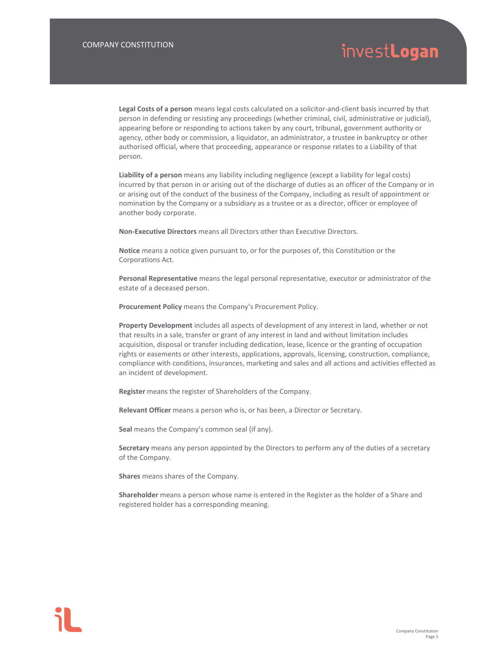**Legal Costs of a person** means legal costs calculated on a solicitor‐and‐client basis incurred by that person in defending or resisting any proceedings (whether criminal, civil, administrative or judicial), appearing before or responding to actions taken by any court, tribunal, government authority or agency, other body or commission, a liquidator, an administrator, a trustee in bankruptcy or other authorised official, where that proceeding, appearance or response relates to a Liability of that person.

**Liability of a person** means any liability including negligence (except a liability for legal costs) incurred by that person in or arising out of the discharge of duties as an officer of the Company or in or arising out of the conduct of the business of the Company, including as result of appointment or nomination by the Company or a subsidiary as a trustee or as a director, officer or employee of another body corporate.

**Non‐Executive Directors** means all Directors other than Executive Directors.

**Notice** means a notice given pursuant to, or for the purposes of, this Constitution or the Corporations Act.

**Personal Representative** means the legal personal representative, executor or administrator of the estate of a deceased person.

**Procurement Policy** means the Company's Procurement Policy.

**Property Development** includes all aspects of development of any interest in land, whether or not that results in a sale, transfer or grant of any interest in land and without limitation includes acquisition, disposal or transfer including dedication, lease, licence or the granting of occupation rights or easements or other interests, applications, approvals, licensing, construction, compliance, compliance with conditions, insurances, marketing and sales and all actions and activities effected as an incident of development.

**Register** means the register of Shareholders of the Company.

**Relevant Officer** means a person who is, or has been, a Director or Secretary.

**Seal** means the Company's common seal (if any).

**Secretary** means any person appointed by the Directors to perform any of the duties of a secretary of the Company.

**Shares** means shares of the Company.

**Shareholder** means a person whose name is entered in the Register as the holder of a Share and registered holder has a corresponding meaning.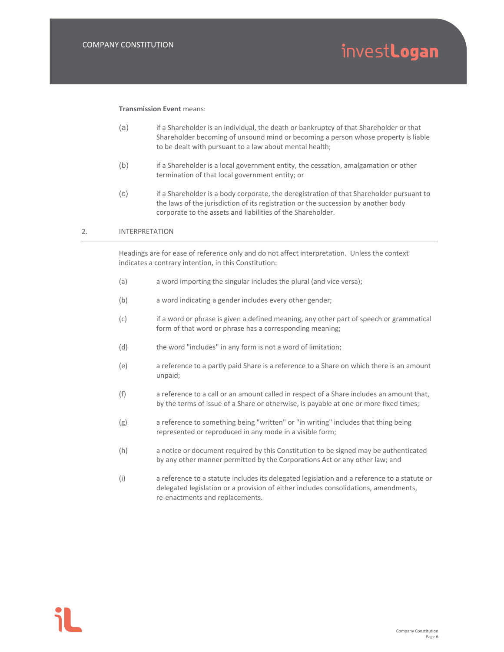#### **Transmission Event** means:

- (a) if a Shareholder is an individual, the death or bankruptcy of that Shareholder or that Shareholder becoming of unsound mind or becoming a person whose property is liable to be dealt with pursuant to a law about mental health;
- (b) if a Shareholder is a local government entity, the cessation, amalgamation or other termination of that local government entity; or
- (c) if a Shareholder is a body corporate, the deregistration of that Shareholder pursuant to the laws of the jurisdiction of its registration or the succession by another body corporate to the assets and liabilities of the Shareholder.

#### 2. INTERPRETATION

Headings are for ease of reference only and do not affect interpretation. Unless the context indicates a contrary intention, in this Constitution:

- (a) a word importing the singular includes the plural (and vice versa);
- (b) a word indicating a gender includes every other gender;
- (c) if a word or phrase is given a defined meaning, any other part of speech or grammatical form of that word or phrase has a corresponding meaning;
- (d) the word "includes" in any form is not a word of limitation;
- (e) a reference to a partly paid Share is a reference to a Share on which there is an amount unpaid;
- (f) a reference to a call or an amount called in respect of a Share includes an amount that, by the terms of issue of a Share or otherwise, is payable at one or more fixed times;
- (g) a reference to something being "written" or "in writing" includes that thing being represented or reproduced in any mode in a visible form;
- (h) a notice or document required by this Constitution to be signed may be authenticated by any other manner permitted by the Corporations Act or any other law; and
- (i) a reference to a statute includes its delegated legislation and a reference to a statute or delegated legislation or a provision of either includes consolidations, amendments, re‐enactments and replacements.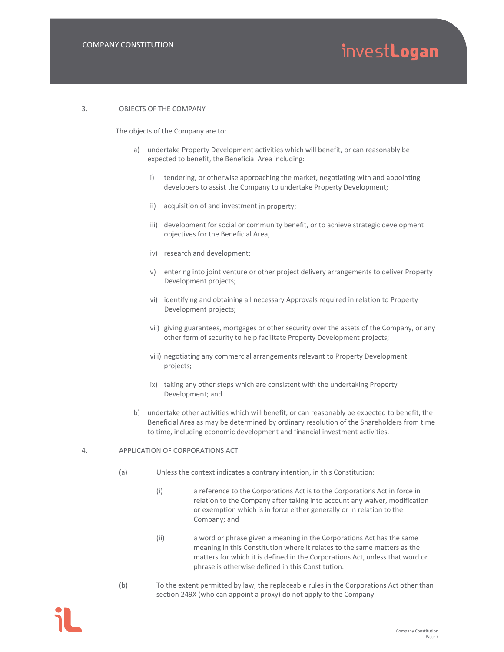#### 3. OBJECTS OF THE COMPANY

The objects of the Company are to:

- a) undertake Property Development activities which will benefit, or can reasonably be expected to benefit, the Beneficial Area including:
	- i) tendering, or otherwise approaching the market, negotiating with and appointing developers to assist the Company to undertake Property Development;
	- ii) acquisition of and investment in property;
	- iii) development for social or community benefit, or to achieve strategic development objectives for the Beneficial Area;
	- iv) research and development;
	- v) entering into joint venture or other project delivery arrangements to deliver Property Development projects;
	- vi) identifying and obtaining all necessary Approvals required in relation to Property Development projects;
	- vii) giving guarantees, mortgages or other security over the assets of the Company, or any other form of security to help facilitate Property Development projects;
	- viii) negotiating any commercial arrangements relevant to Property Development projects;
	- ix) taking any other steps which are consistent with the undertaking Property Development; and
- b) undertake other activities which will benefit, or can reasonably be expected to benefit, the Beneficial Area as may be determined by ordinary resolution of the Shareholders from time to time, including economic development and financial investment activities.

#### 4. APPLICATION OF CORPORATIONS ACT

- (a) Unless the context indicates a contrary intention, in this Constitution:
	- (i) a reference to the Corporations Act is to the Corporations Act in force in relation to the Company after taking into account any waiver, modification or exemption which is in force either generally or in relation to the Company; and
	- (ii) a word or phrase given a meaning in the Corporations Act has the same meaning in this Constitution where it relates to the same matters as the matters for which it is defined in the Corporations Act, unless that word or phrase is otherwise defined in this Constitution.
- (b) To the extent permitted by law, the replaceable rules in the Corporations Act other than section 249X (who can appoint a proxy) do not apply to the Company.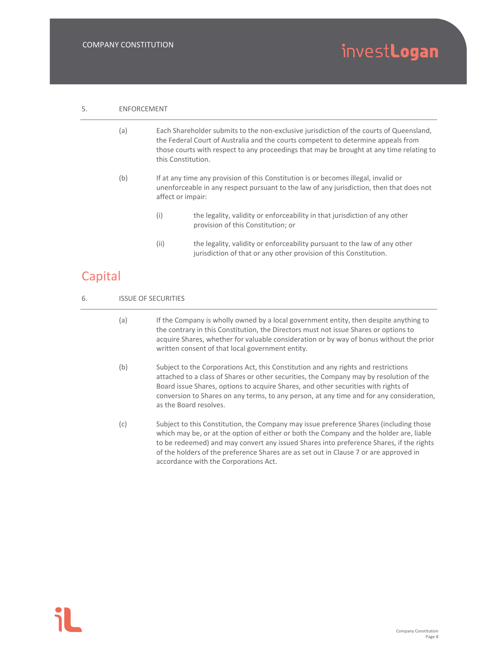#### 5. ENFORCEMENT

- (a) Each Shareholder submits to the non‐exclusive jurisdiction of the courts of Queensland, the Federal Court of Australia and the courts competent to determine appeals from those courts with respect to any proceedings that may be brought at any time relating to this Constitution.
- (b) If at any time any provision of this Constitution is or becomes illegal, invalid or unenforceable in any respect pursuant to the law of any jurisdiction, then that does not affect or impair:
	- (i) the legality, validity or enforceability in that jurisdiction of any other provision of this Constitution; or
	- (ii) the legality, validity or enforceability pursuant to the law of any other jurisdiction of that or any other provision of this Constitution.

### Capital

- 6. ISSUE OF SECURITIES
	- (a) If the Company is wholly owned by a local government entity, then despite anything to the contrary in this Constitution, the Directors must not issue Shares or options to acquire Shares, whether for valuable consideration or by way of bonus without the prior written consent of that local government entity.
	- (b) Subject to the Corporations Act, this Constitution and any rights and restrictions attached to a class of Shares or other securities, the Company may by resolution of the Board issue Shares, options to acquire Shares, and other securities with rights of conversion to Shares on any terms, to any person, at any time and for any consideration, as the Board resolves.
	- (c) Subject to this Constitution, the Company may issue preference Shares (including those which may be, or at the option of either or both the Company and the holder are, liable to be redeemed) and may convert any issued Shares into preference Shares, if the rights of the holders of the preference Shares are as set out in Clause 7 or are approved in accordance with the Corporations Act.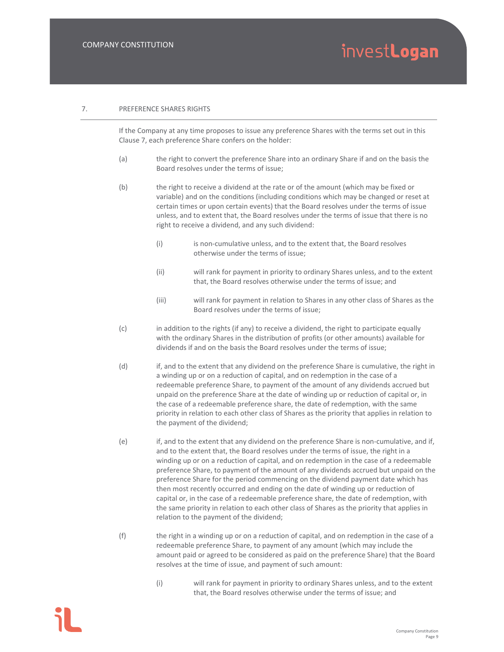#### 7. PREFERENCE SHARES RIGHTS

If the Company at any time proposes to issue any preference Shares with the terms set out in this Clause 7, each preference Share confers on the holder:

- (a) the right to convert the preference Share into an ordinary Share if and on the basis the Board resolves under the terms of issue;
- (b) the right to receive a dividend at the rate or of the amount (which may be fixed or variable) and on the conditions (including conditions which may be changed or reset at certain times or upon certain events) that the Board resolves under the terms of issue unless, and to extent that, the Board resolves under the terms of issue that there is no right to receive a dividend, and any such dividend:
	- (i) is non-cumulative unless, and to the extent that, the Board resolves otherwise under the terms of issue;
	- (ii) will rank for payment in priority to ordinary Shares unless, and to the extent that, the Board resolves otherwise under the terms of issue; and
	- (iii) will rank for payment in relation to Shares in any other class of Shares as the Board resolves under the terms of issue;
- (c) in addition to the rights (if any) to receive a dividend, the right to participate equally with the ordinary Shares in the distribution of profits (or other amounts) available for dividends if and on the basis the Board resolves under the terms of issue;
- (d) if, and to the extent that any dividend on the preference Share is cumulative, the right in a winding up or on a reduction of capital, and on redemption in the case of a redeemable preference Share, to payment of the amount of any dividends accrued but unpaid on the preference Share at the date of winding up or reduction of capital or, in the case of a redeemable preference share, the date of redemption, with the same priority in relation to each other class of Shares as the priority that applies in relation to the payment of the dividend;
- (e) if, and to the extent that any dividend on the preference Share is non-cumulative, and if, and to the extent that, the Board resolves under the terms of issue, the right in a winding up or on a reduction of capital, and on redemption in the case of a redeemable preference Share, to payment of the amount of any dividends accrued but unpaid on the preference Share for the period commencing on the dividend payment date which has then most recently occurred and ending on the date of winding up or reduction of capital or, in the case of a redeemable preference share, the date of redemption, with the same priority in relation to each other class of Shares as the priority that applies in relation to the payment of the dividend;
- (f) the right in a winding up or on a reduction of capital, and on redemption in the case of a redeemable preference Share, to payment of any amount (which may include the amount paid or agreed to be considered as paid on the preference Share) that the Board resolves at the time of issue, and payment of such amount:
	- (i) will rank for payment in priority to ordinary Shares unless, and to the extent that, the Board resolves otherwise under the terms of issue; and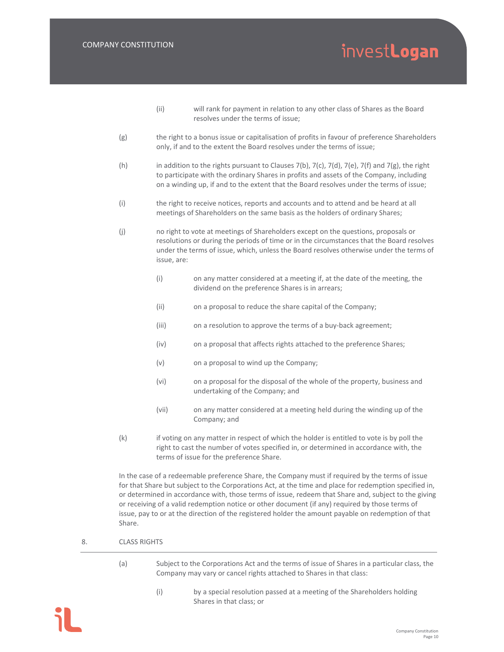- (ii) will rank for payment in relation to any other class of Shares as the Board resolves under the terms of issue;
- (g) the right to a bonus issue or capitalisation of profits in favour of preference Shareholders only, if and to the extent the Board resolves under the terms of issue;
- (h) in addition to the rights pursuant to Clauses 7(b), 7(c), 7(d), 7(e), 7(f) and 7(g), the right to participate with the ordinary Shares in profits and assets of the Company, including on a winding up, if and to the extent that the Board resolves under the terms of issue;
- (i) the right to receive notices, reports and accounts and to attend and be heard at all meetings of Shareholders on the same basis as the holders of ordinary Shares;
- (j) no right to vote at meetings of Shareholders except on the questions, proposals or resolutions or during the periods of time or in the circumstances that the Board resolves under the terms of issue, which, unless the Board resolves otherwise under the terms of issue, are:
	- (i) on any matter considered at a meeting if, at the date of the meeting, the dividend on the preference Shares is in arrears;
	- (ii) on a proposal to reduce the share capital of the Company;
	- (iii) on a resolution to approve the terms of a buy‐back agreement;
	- (iv) on a proposal that affects rights attached to the preference Shares;
	- (v) on a proposal to wind up the Company;
	- (vi) on a proposal for the disposal of the whole of the property, business and undertaking of the Company; and
	- (vii) on any matter considered at a meeting held during the winding up of the Company; and
- (k) if voting on any matter in respect of which the holder is entitled to vote is by poll the right to cast the number of votes specified in, or determined in accordance with, the terms of issue for the preference Share.

In the case of a redeemable preference Share, the Company must if required by the terms of issue for that Share but subject to the Corporations Act, at the time and place for redemption specified in, or determined in accordance with, those terms of issue, redeem that Share and, subject to the giving or receiving of a valid redemption notice or other document (if any) required by those terms of issue, pay to or at the direction of the registered holder the amount payable on redemption of that Share.

- 8. CLASS RIGHTS
	- (a) Subject to the Corporations Act and the terms of issue of Shares in a particular class, the Company may vary or cancel rights attached to Shares in that class:
		- (i) by a special resolution passed at a meeting of the Shareholders holding Shares in that class; or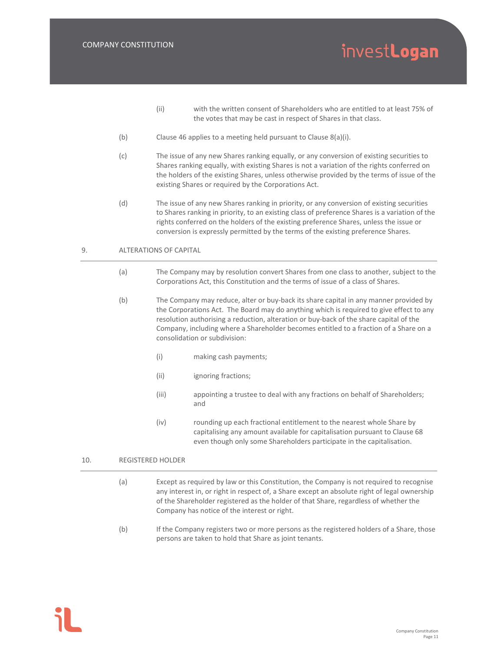- (ii) with the written consent of Shareholders who are entitled to at least 75% of the votes that may be cast in respect of Shares in that class.
- (b) Clause 46 applies to a meeting held pursuant to Clause 8(a)(i).
- (c) The issue of any new Shares ranking equally, or any conversion of existing securities to Shares ranking equally, with existing Shares is not a variation of the rights conferred on the holders of the existing Shares, unless otherwise provided by the terms of issue of the existing Shares or required by the Corporations Act.
- (d) The issue of any new Shares ranking in priority, or any conversion of existing securities to Shares ranking in priority, to an existing class of preference Shares is a variation of the rights conferred on the holders of the existing preference Shares, unless the issue or conversion is expressly permitted by the terms of the existing preference Shares.

#### 9. ALTERATIONS OF CAPITAL

- (a) The Company may by resolution convert Shares from one class to another, subject to the Corporations Act, this Constitution and the terms of issue of a class of Shares.
- (b) The Company may reduce, alter or buy‐back its share capital in any manner provided by the Corporations Act. The Board may do anything which is required to give effect to any resolution authorising a reduction, alteration or buy‐back of the share capital of the Company, including where a Shareholder becomes entitled to a fraction of a Share on a consolidation or subdivision:
	- (i) making cash payments;
	- (ii) ignoring fractions;
	- (iii) appointing a trustee to deal with any fractions on behalf of Shareholders; and
	- (iv) rounding up each fractional entitlement to the nearest whole Share by capitalising any amount available for capitalisation pursuant to Clause 68 even though only some Shareholders participate in the capitalisation.

#### 10. REGISTERED HOLDER

- (a) Except as required by law or this Constitution, the Company is not required to recognise any interest in, or right in respect of, a Share except an absolute right of legal ownership of the Shareholder registered as the holder of that Share, regardless of whether the Company has notice of the interest or right.
- (b) If the Company registers two or more persons as the registered holders of a Share, those persons are taken to hold that Share as joint tenants.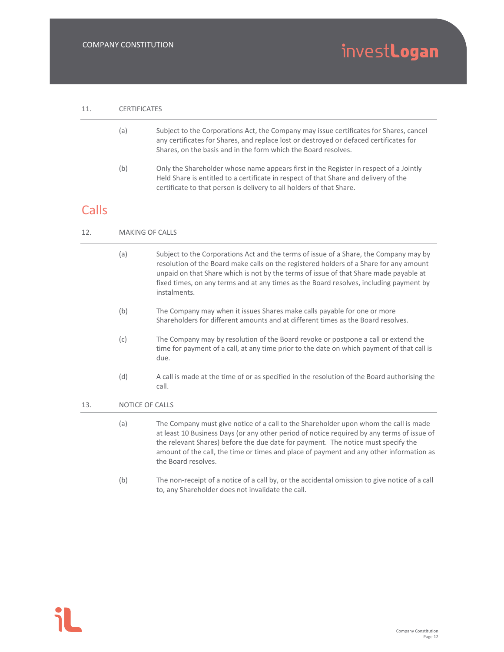#### 11. CERTIFICATES

- (a) Subject to the Corporations Act, the Company may issue certificates for Shares, cancel any certificates for Shares, and replace lost or destroyed or defaced certificates for Shares, on the basis and in the form which the Board resolves.
- (b) Only the Shareholder whose name appears first in the Register in respect of a Jointly Held Share is entitled to a certificate in respect of that Share and delivery of the certificate to that person is delivery to all holders of that Share.

### Calls

- 12. MAKING OF CALLS
	- (a) Subject to the Corporations Act and the terms of issue of a Share, the Company may by resolution of the Board make calls on the registered holders of a Share for any amount unpaid on that Share which is not by the terms of issue of that Share made payable at fixed times, on any terms and at any times as the Board resolves, including payment by instalments.
	- (b) The Company may when it issues Shares make calls payable for one or more Shareholders for different amounts and at different times as the Board resolves.
	- (c) The Company may by resolution of the Board revoke or postpone a call or extend the time for payment of a call, at any time prior to the date on which payment of that call is due.
	- (d) A call is made at the time of or as specified in the resolution of the Board authorising the call.
- 13. NOTICE OF CALLS
	- (a) The Company must give notice of a call to the Shareholder upon whom the call is made at least 10 Business Days (or any other period of notice required by any terms of issue of the relevant Shares) before the due date for payment. The notice must specify the amount of the call, the time or times and place of payment and any other information as the Board resolves.
	- (b) The non‐receipt of a notice of a call by, or the accidental omission to give notice of a call to, any Shareholder does not invalidate the call.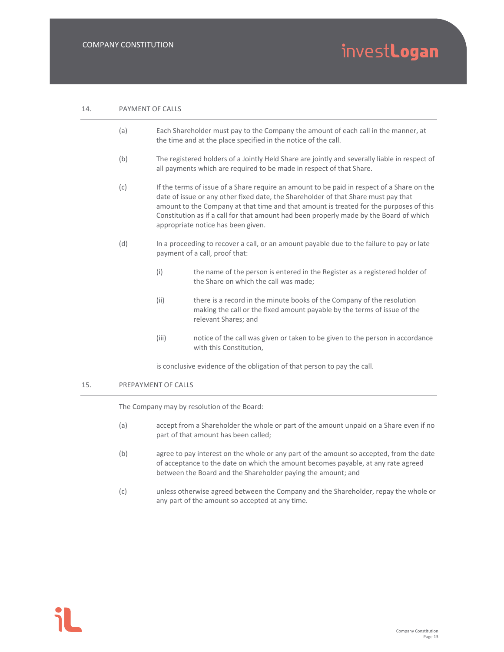#### 14. PAYMENT OF CALLS

- (a) Each Shareholder must pay to the Company the amount of each call in the manner, at the time and at the place specified in the notice of the call.
- (b) The registered holders of a Jointly Held Share are jointly and severally liable in respect of all payments which are required to be made in respect of that Share.
- (c) If the terms of issue of a Share require an amount to be paid in respect of a Share on the date of issue or any other fixed date, the Shareholder of that Share must pay that amount to the Company at that time and that amount is treated for the purposes of this Constitution as if a call for that amount had been properly made by the Board of which appropriate notice has been given.
- (d) In a proceeding to recover a call, or an amount payable due to the failure to pay or late payment of a call, proof that:
	- (i) the name of the person is entered in the Register as a registered holder of the Share on which the call was made;
	- (ii) there is a record in the minute books of the Company of the resolution making the call or the fixed amount payable by the terms of issue of the relevant Shares; and
	- (iii) notice of the call was given or taken to be given to the person in accordance with this Constitution,

is conclusive evidence of the obligation of that person to pay the call.

#### 15. PREPAYMENT OF CALLS

The Company may by resolution of the Board:

- (a) accept from a Shareholder the whole or part of the amount unpaid on a Share even if no part of that amount has been called;
- (b) agree to pay interest on the whole or any part of the amount so accepted, from the date of acceptance to the date on which the amount becomes payable, at any rate agreed between the Board and the Shareholder paying the amount; and
- (c) unless otherwise agreed between the Company and the Shareholder, repay the whole or any part of the amount so accepted at any time.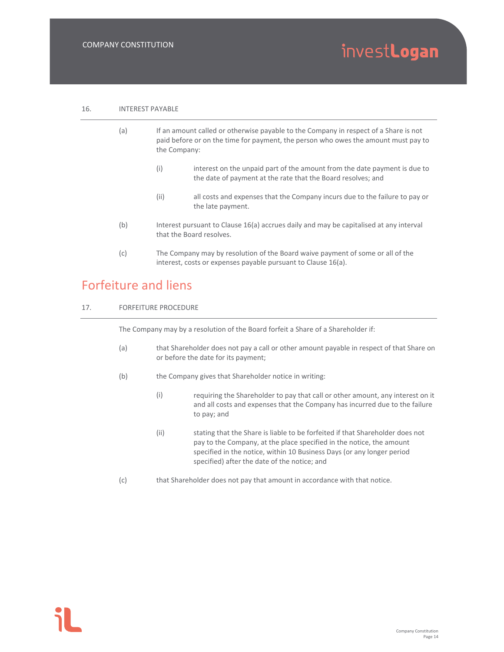#### 16. INTEREST PAYABLE

- (a) If an amount called or otherwise payable to the Company in respect of a Share is not paid before or on the time for payment, the person who owes the amount must pay to the Company:
	- (i) interest on the unpaid part of the amount from the date payment is due to the date of payment at the rate that the Board resolves; and
	- (ii) all costs and expenses that the Company incurs due to the failure to pay or the late payment.
- (b) Interest pursuant to Clause 16(a) accrues daily and may be capitalised at any interval that the Board resolves.
- (c) The Company may by resolution of the Board waive payment of some or all of the interest, costs or expenses payable pursuant to Clause 16(a).

### Forfeiture and liens

#### 17. FORFEITURE PROCEDURE

The Company may by a resolution of the Board forfeit a Share of a Shareholder if:

- (a) that Shareholder does not pay a call or other amount payable in respect of that Share on or before the date for its payment;
- (b) the Company gives that Shareholder notice in writing:
	- (i) requiring the Shareholder to pay that call or other amount, any interest on it and all costs and expenses that the Company has incurred due to the failure to pay; and
	- (ii) stating that the Share is liable to be forfeited if that Shareholder does not pay to the Company, at the place specified in the notice, the amount specified in the notice, within 10 Business Days (or any longer period specified) after the date of the notice; and
- (c) that Shareholder does not pay that amount in accordance with that notice.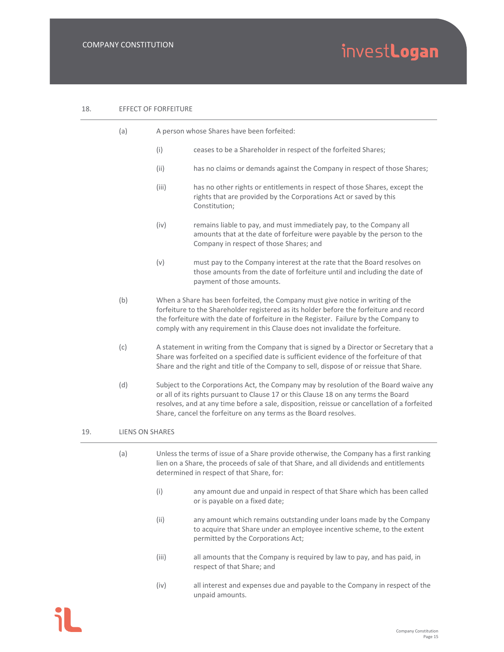| 18.                           |     | <b>EFFECT OF FORFEITURE</b> |                                                                                                                                                                                                                                                                                                                                                       |  |  |
|-------------------------------|-----|-----------------------------|-------------------------------------------------------------------------------------------------------------------------------------------------------------------------------------------------------------------------------------------------------------------------------------------------------------------------------------------------------|--|--|
|                               | (a) |                             | A person whose Shares have been forfeited:                                                                                                                                                                                                                                                                                                            |  |  |
|                               |     | (i)                         | ceases to be a Shareholder in respect of the forfeited Shares;                                                                                                                                                                                                                                                                                        |  |  |
|                               |     | (ii)                        | has no claims or demands against the Company in respect of those Shares;                                                                                                                                                                                                                                                                              |  |  |
|                               |     | (iii)                       | has no other rights or entitlements in respect of those Shares, except the<br>rights that are provided by the Corporations Act or saved by this<br>Constitution;                                                                                                                                                                                      |  |  |
|                               |     | (iv)                        | remains liable to pay, and must immediately pay, to the Company all<br>amounts that at the date of forfeiture were payable by the person to the<br>Company in respect of those Shares; and                                                                                                                                                            |  |  |
|                               |     | (v)                         | must pay to the Company interest at the rate that the Board resolves on<br>those amounts from the date of forfeiture until and including the date of<br>payment of those amounts.                                                                                                                                                                     |  |  |
|                               | (b) |                             | When a Share has been forfeited, the Company must give notice in writing of the<br>forfeiture to the Shareholder registered as its holder before the forfeiture and record<br>the forfeiture with the date of forfeiture in the Register. Failure by the Company to<br>comply with any requirement in this Clause does not invalidate the forfeiture. |  |  |
|                               | (c) |                             | A statement in writing from the Company that is signed by a Director or Secretary that a<br>Share was forfeited on a specified date is sufficient evidence of the forfeiture of that<br>Share and the right and title of the Company to sell, dispose of or reissue that Share.                                                                       |  |  |
|                               | (d) |                             | Subject to the Corporations Act, the Company may by resolution of the Board waive any<br>or all of its rights pursuant to Clause 17 or this Clause 18 on any terms the Board<br>resolves, and at any time before a sale, disposition, reissue or cancellation of a forfeited<br>Share, cancel the forfeiture on any terms as the Board resolves.      |  |  |
| 19.<br><b>LIENS ON SHARES</b> |     |                             |                                                                                                                                                                                                                                                                                                                                                       |  |  |
|                               | (a) |                             | Unless the terms of issue of a Share provide otherwise, the Company has a first ranking<br>lien on a Share, the proceeds of sale of that Share, and all dividends and entitlements<br>determined in respect of that Share, for:                                                                                                                       |  |  |
|                               |     | (i)                         | any amount due and unpaid in respect of that Share which has been called<br>or is payable on a fixed date;                                                                                                                                                                                                                                            |  |  |
|                               |     | (ii)                        | any amount which remains outstanding under loans made by the Company<br>to acquire that Share under an employee incentive scheme, to the extent<br>permitted by the Corporations Act;                                                                                                                                                                 |  |  |
|                               |     | (iii)                       | all amounts that the Company is required by law to pay, and has paid, in<br>respect of that Share; and                                                                                                                                                                                                                                                |  |  |
|                               |     | (iv)                        | all interest and expenses due and payable to the Company in respect of the<br>unpaid amounts.                                                                                                                                                                                                                                                         |  |  |
|                               |     |                             |                                                                                                                                                                                                                                                                                                                                                       |  |  |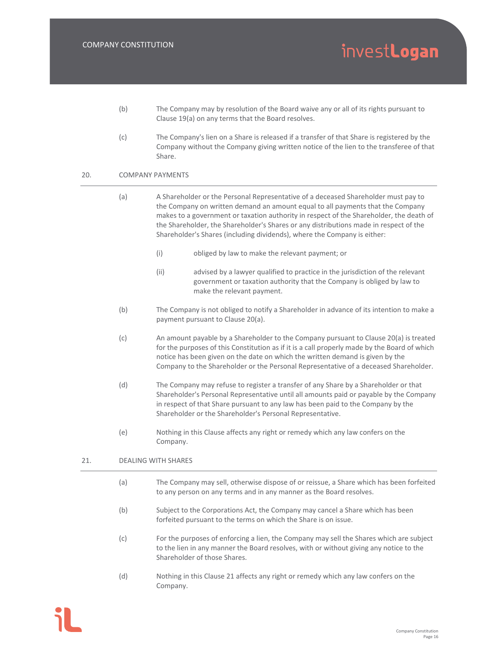- (b) The Company may by resolution of the Board waive any or all of its rights pursuant to Clause 19(a) on any terms that the Board resolves.
- (c) The Company's lien on a Share is released if a transfer of that Share is registered by the Company without the Company giving written notice of the lien to the transferee of that Share.

#### 20. COMPANY PAYMENTS

- (a) A Shareholder or the Personal Representative of a deceased Shareholder must pay to the Company on written demand an amount equal to all payments that the Company makes to a government or taxation authority in respect of the Shareholder, the death of the Shareholder, the Shareholder's Shares or any distributions made in respect of the Shareholder's Shares (including dividends), where the Company is either:
	- (i) obliged by law to make the relevant payment; or
	- (ii) advised by a lawyer qualified to practice in the jurisdiction of the relevant government or taxation authority that the Company is obliged by law to make the relevant payment.
- (b) The Company is not obliged to notify a Shareholder in advance of its intention to make a payment pursuant to Clause 20(a).
- (c) An amount payable by a Shareholder to the Company pursuant to Clause 20(a) is treated for the purposes of this Constitution as if it is a call properly made by the Board of which notice has been given on the date on which the written demand is given by the Company to the Shareholder or the Personal Representative of a deceased Shareholder.
- (d) The Company may refuse to register a transfer of any Share by a Shareholder or that Shareholder's Personal Representative until all amounts paid or payable by the Company in respect of that Share pursuant to any law has been paid to the Company by the Shareholder or the Shareholder's Personal Representative.
- (e) Nothing in this Clause affects any right or remedy which any law confers on the Company.

#### 21. DEALING WITH SHARES

- (a) The Company may sell, otherwise dispose of or reissue, a Share which has been forfeited to any person on any terms and in any manner as the Board resolves.
- (b) Subject to the Corporations Act, the Company may cancel a Share which has been forfeited pursuant to the terms on which the Share is on issue.
- (c) For the purposes of enforcing a lien, the Company may sell the Shares which are subject to the lien in any manner the Board resolves, with or without giving any notice to the Shareholder of those Shares.
- (d) Nothing in this Clause 21 affects any right or remedy which any law confers on the Company.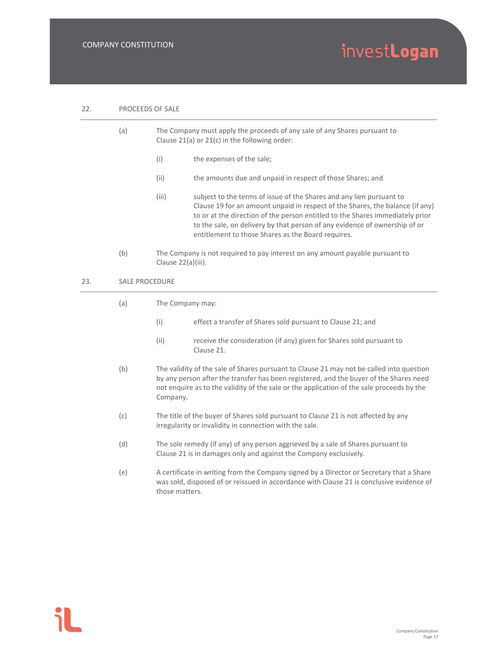#### 22. PROCEEDS OF SALE

- (a) The Company must apply the proceeds of any sale of any Shares pursuant to Clause 21(a) or 21(c) in the following order:
	- (i) the expenses of the sale;
	- (ii) the amounts due and unpaid in respect of those Shares; and
	- (iii) subject to the terms of issue of the Shares and any lien pursuant to Clause 19 for an amount unpaid in respect of the Shares, the balance (if any) to or at the direction of the person entitled to the Shares immediately prior to the sale, on delivery by that person of any evidence of ownership of or entitlement to those Shares as the Board requires.
- (b) The Company is not required to pay interest on any amount payable pursuant to Clause 22(a)(iii).

#### 23. SALE PROCEDURE

- (a) The Company may:
	- (i) effect a transfer of Shares sold pursuant to Clause 21; and
	- (ii) receive the consideration (if any) given for Shares sold pursuant to Clause 21.
- (b) The validity of the sale of Shares pursuant to Clause 21 may not be called into question by any person after the transfer has been registered, and the buyer of the Shares need not enquire as to the validity of the sale or the application of the sale proceeds by the Company.
- (c) The title of the buyer of Shares sold pursuant to Clause 21 is not affected by any irregularity or invalidity in connection with the sale.
- (d) The sole remedy (if any) of any person aggrieved by a sale of Shares pursuant to Clause 21 is in damages only and against the Company exclusively.
- (e) A certificate in writing from the Company signed by a Director or Secretary that a Share was sold, disposed of or reissued in accordance with Clause 21 is conclusive evidence of those matters.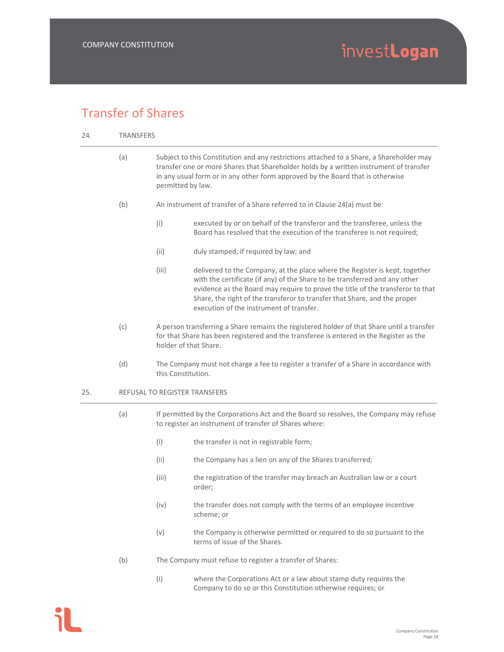### Transfer of Shares

- 24. TRANSFERS
	- (a) Subject to this Constitution and any restrictions attached to a Share, a Shareholder may transfer one or more Shares that Shareholder holds by a written instrument of transfer in any usual form or in any other form approved by the Board that is otherwise permitted by law.
	- (b) An instrument of transfer of a Share referred to in Clause 24(a) must be:
		- (i) executed by or on behalf of the transferor and the transferee, unless the Board has resolved that the execution of the transferee is not required;
		- (ii) duly stamped, if required by law; and
		- (iii) delivered to the Company, at the place where the Register is kept, together with the certificate (if any) of the Share to be transferred and any other evidence as the Board may require to prove the title of the transferor to that Share, the right of the transferor to transfer that Share, and the proper execution of the instrument of transfer.
	- (c) A person transferring a Share remains the registered holder of that Share until a transfer for that Share has been registered and the transferee is entered in the Register as the holder of that Share.
	- (d) The Company must not charge a fee to register a transfer of a Share in accordance with this Constitution.

#### 25. REFUSAL TO REGISTER TRANSFERS

- (a) If permitted by the Corporations Act and the Board so resolves, the Company may refuse to register an instrument of transfer of Shares where:
	- (i) the transfer is not in registrable form;
	- (ii) the Company has a lien on any of the Shares transferred;
	- (iii) the registration of the transfer may breach an Australian law or a court order;
	- (iv) the transfer does not comply with the terms of an employee incentive scheme; or
	- (v) the Company is otherwise permitted or required to do so pursuant to the terms of issue of the Shares.
- (b) The Company must refuse to register a transfer of Shares:
	- (i) where the Corporations Act or a law about stamp duty requires the Company to do so or this Constitution otherwise requires; or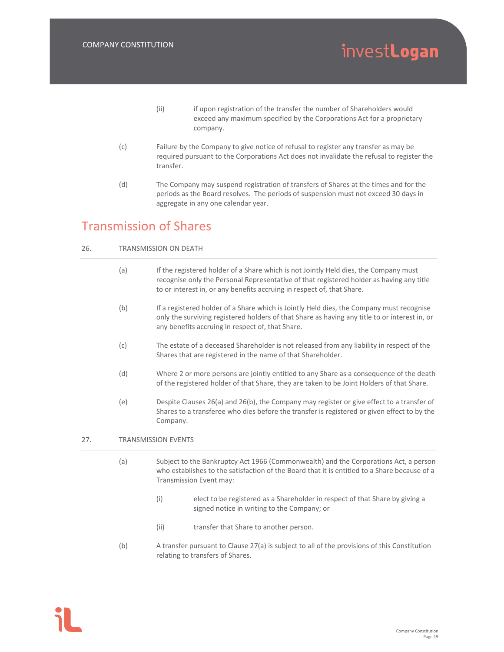- (ii) if upon registration of the transfer the number of Shareholders would exceed any maximum specified by the Corporations Act for a proprietary company.
- (c) Failure by the Company to give notice of refusal to register any transfer as may be required pursuant to the Corporations Act does not invalidate the refusal to register the transfer.
- (d) The Company may suspend registration of transfers of Shares at the times and for the periods as the Board resolves. The periods of suspension must not exceed 30 days in aggregate in any one calendar year.

### Transmission of Shares

#### 26. TRANSMISSION ON DEATH

- (a) If the registered holder of a Share which is not Jointly Held dies, the Company must recognise only the Personal Representative of that registered holder as having any title to or interest in, or any benefits accruing in respect of, that Share.
- (b) If a registered holder of a Share which is Jointly Held dies, the Company must recognise only the surviving registered holders of that Share as having any title to or interest in, or any benefits accruing in respect of, that Share.
- (c) The estate of a deceased Shareholder is not released from any liability in respect of the Shares that are registered in the name of that Shareholder.
- (d) Where 2 or more persons are jointly entitled to any Share as a consequence of the death of the registered holder of that Share, they are taken to be Joint Holders of that Share.
- (e) Despite Clauses 26(a) and 26(b), the Company may register or give effect to a transfer of Shares to a transferee who dies before the transfer is registered or given effect to by the Company.

#### 27. TRANSMISSION EVENTS

- (a) Subject to the Bankruptcy Act 1966 (Commonwealth) and the Corporations Act, a person who establishes to the satisfaction of the Board that it is entitled to a Share because of a Transmission Event may:
	- (i) elect to be registered as a Shareholder in respect of that Share by giving a signed notice in writing to the Company; or
	- (ii) transfer that Share to another person.
- (b) A transfer pursuant to Clause 27(a) is subject to all of the provisions of this Constitution relating to transfers of Shares.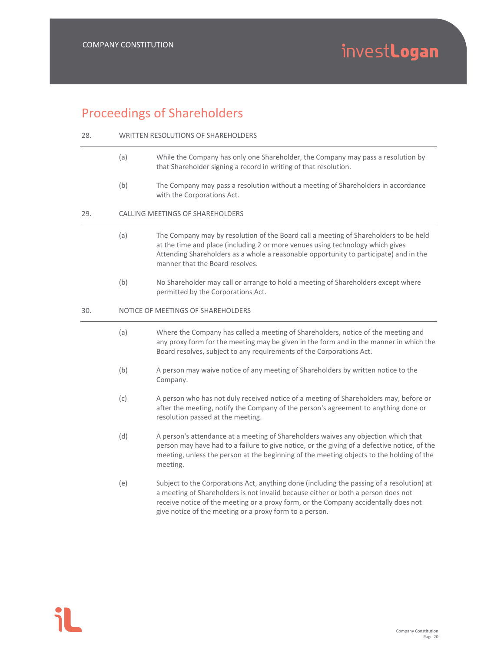### Proceedings of Shareholders

| 28. | <b>WRITTEN RESOLUTIONS OF SHAREHOLDERS</b> |                                                                                                                                                                                                                                                                                                                                  |  |  |
|-----|--------------------------------------------|----------------------------------------------------------------------------------------------------------------------------------------------------------------------------------------------------------------------------------------------------------------------------------------------------------------------------------|--|--|
|     | (a)                                        | While the Company has only one Shareholder, the Company may pass a resolution by<br>that Shareholder signing a record in writing of that resolution.                                                                                                                                                                             |  |  |
|     | (b)                                        | The Company may pass a resolution without a meeting of Shareholders in accordance<br>with the Corporations Act.                                                                                                                                                                                                                  |  |  |
| 29. |                                            | CALLING MEETINGS OF SHAREHOLDERS                                                                                                                                                                                                                                                                                                 |  |  |
|     | (a)                                        | The Company may by resolution of the Board call a meeting of Shareholders to be held<br>at the time and place (including 2 or more venues using technology which gives<br>Attending Shareholders as a whole a reasonable opportunity to participate) and in the<br>manner that the Board resolves.                               |  |  |
|     | (b)                                        | No Shareholder may call or arrange to hold a meeting of Shareholders except where<br>permitted by the Corporations Act.                                                                                                                                                                                                          |  |  |
| 30. | NOTICE OF MEETINGS OF SHAREHOLDERS         |                                                                                                                                                                                                                                                                                                                                  |  |  |
|     | (a)                                        | Where the Company has called a meeting of Shareholders, notice of the meeting and<br>any proxy form for the meeting may be given in the form and in the manner in which the<br>Board resolves, subject to any requirements of the Corporations Act.                                                                              |  |  |
|     | (b)                                        | A person may waive notice of any meeting of Shareholders by written notice to the<br>Company.                                                                                                                                                                                                                                    |  |  |
|     | (c)                                        | A person who has not duly received notice of a meeting of Shareholders may, before or<br>after the meeting, notify the Company of the person's agreement to anything done or<br>resolution passed at the meeting.                                                                                                                |  |  |
|     | (d)                                        | A person's attendance at a meeting of Shareholders waives any objection which that<br>person may have had to a failure to give notice, or the giving of a defective notice, of the<br>meeting, unless the person at the beginning of the meeting objects to the holding of the<br>meeting.                                       |  |  |
|     | (e)                                        | Subject to the Corporations Act, anything done (including the passing of a resolution) at<br>a meeting of Shareholders is not invalid because either or both a person does not<br>receive notice of the meeting or a proxy form, or the Company accidentally does not<br>give notice of the meeting or a proxy form to a person. |  |  |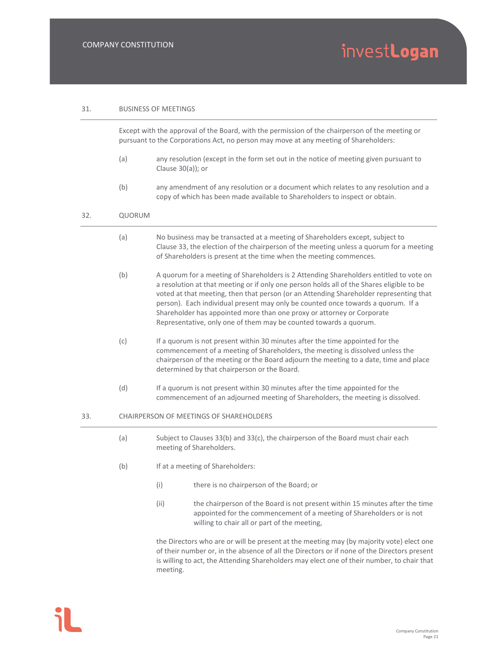#### 31. BUSINESS OF MEETINGS

Except with the approval of the Board, with the permission of the chairperson of the meeting or pursuant to the Corporations Act, no person may move at any meeting of Shareholders:

- (a) any resolution (except in the form set out in the notice of meeting given pursuant to Clause 30(a)); or
- (b) any amendment of any resolution or a document which relates to any resolution and a copy of which has been made available to Shareholders to inspect or obtain.

#### 32. QUORUM

- (a) No business may be transacted at a meeting of Shareholders except, subject to Clause 33, the election of the chairperson of the meeting unless a quorum for a meeting of Shareholders is present at the time when the meeting commences.
- (b) A quorum for a meeting of Shareholders is 2 Attending Shareholders entitled to vote on a resolution at that meeting or if only one person holds all of the Shares eligible to be voted at that meeting, then that person (or an Attending Shareholder representing that person). Each individual present may only be counted once towards a quorum. If a Shareholder has appointed more than one proxy or attorney or Corporate Representative, only one of them may be counted towards a quorum.
- (c) If a quorum is not present within 30 minutes after the time appointed for the commencement of a meeting of Shareholders, the meeting is dissolved unless the chairperson of the meeting or the Board adjourn the meeting to a date, time and place determined by that chairperson or the Board.
- (d) If a quorum is not present within 30 minutes after the time appointed for the commencement of an adjourned meeting of Shareholders, the meeting is dissolved.

#### 33. CHAIRPERSON OF MEETINGS OF SHAREHOLDERS

- (a) Subject to Clauses 33(b) and 33(c), the chairperson of the Board must chair each meeting of Shareholders.
- (b) If at a meeting of Shareholders:
	- (i) there is no chairperson of the Board; or
	- (ii) the chairperson of the Board is not present within 15 minutes after the time appointed for the commencement of a meeting of Shareholders or is not willing to chair all or part of the meeting,

the Directors who are or will be present at the meeting may (by majority vote) elect one of their number or, in the absence of all the Directors or if none of the Directors present is willing to act, the Attending Shareholders may elect one of their number, to chair that meeting.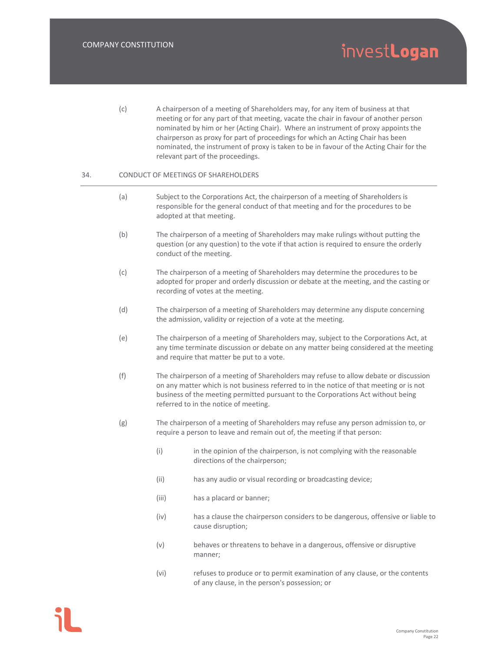(c) A chairperson of a meeting of Shareholders may, for any item of business at that meeting or for any part of that meeting, vacate the chair in favour of another person nominated by him or her (Acting Chair). Where an instrument of proxy appoints the chairperson as proxy for part of proceedings for which an Acting Chair has been nominated, the instrument of proxy is taken to be in favour of the Acting Chair for the relevant part of the proceedings.

#### 34. CONDUCT OF MEETINGS OF SHAREHOLDERS

- (a) Subject to the Corporations Act, the chairperson of a meeting of Shareholders is responsible for the general conduct of that meeting and for the procedures to be adopted at that meeting.
- (b) The chairperson of a meeting of Shareholders may make rulings without putting the question (or any question) to the vote if that action is required to ensure the orderly conduct of the meeting.
- (c) The chairperson of a meeting of Shareholders may determine the procedures to be adopted for proper and orderly discussion or debate at the meeting, and the casting or recording of votes at the meeting.
- (d) The chairperson of a meeting of Shareholders may determine any dispute concerning the admission, validity or rejection of a vote at the meeting.
- (e) The chairperson of a meeting of Shareholders may, subject to the Corporations Act, at any time terminate discussion or debate on any matter being considered at the meeting and require that matter be put to a vote.
- (f) The chairperson of a meeting of Shareholders may refuse to allow debate or discussion on any matter which is not business referred to in the notice of that meeting or is not business of the meeting permitted pursuant to the Corporations Act without being referred to in the notice of meeting.
- (g) The chairperson of a meeting of Shareholders may refuse any person admission to, or require a person to leave and remain out of, the meeting if that person:
	- (i) in the opinion of the chairperson, is not complying with the reasonable directions of the chairperson;
	- (ii) has any audio or visual recording or broadcasting device;
	- (iii) has a placard or banner;
	- (iv) has a clause the chairperson considers to be dangerous, offensive or liable to cause disruption;
	- (v) behaves or threatens to behave in a dangerous, offensive or disruptive manner;
	- (vi) refuses to produce or to permit examination of any clause, or the contents of any clause, in the person's possession; or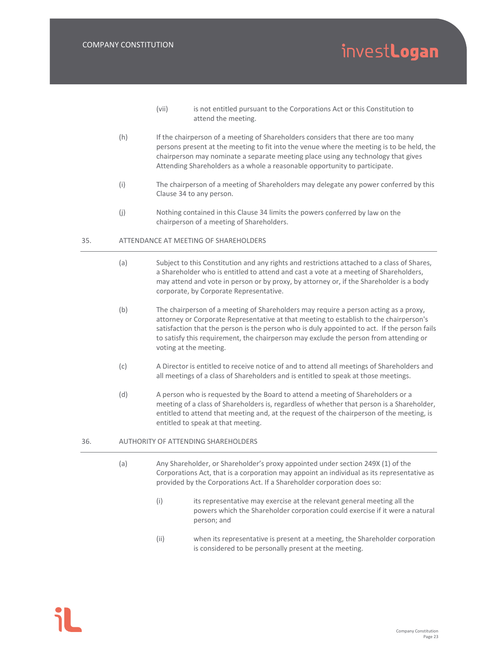- (vii) is not entitled pursuant to the Corporations Act or this Constitution to attend the meeting.
- (h) If the chairperson of a meeting of Shareholders considers that there are too many persons present at the meeting to fit into the venue where the meeting is to be held, the chairperson may nominate a separate meeting place using any technology that gives Attending Shareholders as a whole a reasonable opportunity to participate.
- (i) The chairperson of a meeting of Shareholders may delegate any power conferred by this Clause 34 to any person.
- (j) Nothing contained in this Clause 34 limits the powers conferred by law on the chairperson of a meeting of Shareholders.

#### 35. ATTENDANCE AT MEETING OF SHAREHOLDERS

- (a) Subject to this Constitution and any rights and restrictions attached to a class of Shares, a Shareholder who is entitled to attend and cast a vote at a meeting of Shareholders, may attend and vote in person or by proxy, by attorney or, if the Shareholder is a body corporate, by Corporate Representative.
- (b) The chairperson of a meeting of Shareholders may require a person acting as a proxy, attorney or Corporate Representative at that meeting to establish to the chairperson's satisfaction that the person is the person who is duly appointed to act. If the person fails to satisfy this requirement, the chairperson may exclude the person from attending or voting at the meeting.
- (c) A Director is entitled to receive notice of and to attend all meetings of Shareholders and all meetings of a class of Shareholders and is entitled to speak at those meetings.
- (d) A person who is requested by the Board to attend a meeting of Shareholders or a meeting of a class of Shareholders is, regardless of whether that person is a Shareholder, entitled to attend that meeting and, at the request of the chairperson of the meeting, is entitled to speak at that meeting.

#### 36. AUTHORITY OF ATTENDING SHAREHOLDERS

- (a) Any Shareholder, or Shareholder's proxy appointed under section 249X (1) of the Corporations Act, that is a corporation may appoint an individual as its representative as provided by the Corporations Act. If a Shareholder corporation does so:
	- (i) its representative may exercise at the relevant general meeting all the powers which the Shareholder corporation could exercise if it were a natural person; and
	- (ii) when its representative is present at a meeting, the Shareholder corporation is considered to be personally present at the meeting.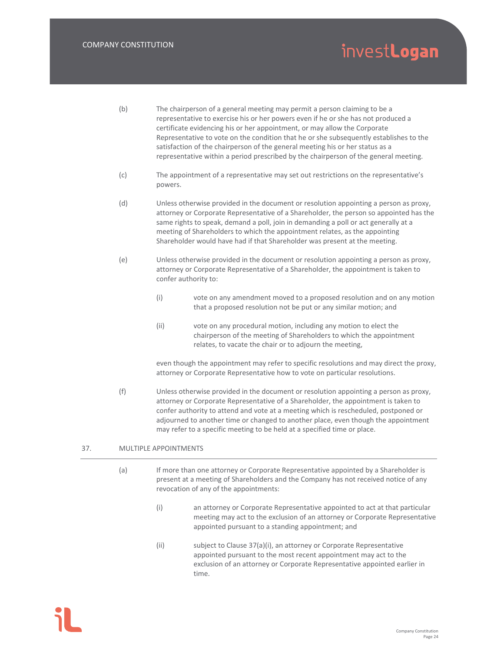- (b) The chairperson of a general meeting may permit a person claiming to be a representative to exercise his or her powers even if he or she has not produced a certificate evidencing his or her appointment, or may allow the Corporate Representative to vote on the condition that he or she subsequently establishes to the satisfaction of the chairperson of the general meeting his or her status as a representative within a period prescribed by the chairperson of the general meeting.
- (c) The appointment of a representative may set out restrictions on the representative's powers.
- (d) Unless otherwise provided in the document or resolution appointing a person as proxy, attorney or Corporate Representative of a Shareholder, the person so appointed has the same rights to speak, demand a poll, join in demanding a poll or act generally at a meeting of Shareholders to which the appointment relates, as the appointing Shareholder would have had if that Shareholder was present at the meeting.
- (e) Unless otherwise provided in the document or resolution appointing a person as proxy, attorney or Corporate Representative of a Shareholder, the appointment is taken to confer authority to:
	- (i) vote on any amendment moved to a proposed resolution and on any motion that a proposed resolution not be put or any similar motion; and
	- (ii) vote on any procedural motion, including any motion to elect the chairperson of the meeting of Shareholders to which the appointment relates, to vacate the chair or to adjourn the meeting,

even though the appointment may refer to specific resolutions and may direct the proxy, attorney or Corporate Representative how to vote on particular resolutions.

(f) Unless otherwise provided in the document or resolution appointing a person as proxy, attorney or Corporate Representative of a Shareholder, the appointment is taken to confer authority to attend and vote at a meeting which is rescheduled, postponed or adjourned to another time or changed to another place, even though the appointment may refer to a specific meeting to be held at a specified time or place.

#### 37. MULTIPLE APPOINTMENTS

- (a) If more than one attorney or Corporate Representative appointed by a Shareholder is present at a meeting of Shareholders and the Company has not received notice of any revocation of any of the appointments:
	- (i) an attorney or Corporate Representative appointed to act at that particular meeting may act to the exclusion of an attorney or Corporate Representative appointed pursuant to a standing appointment; and
	- (ii) subject to Clause 37(a)(i), an attorney or Corporate Representative appointed pursuant to the most recent appointment may act to the exclusion of an attorney or Corporate Representative appointed earlier in time.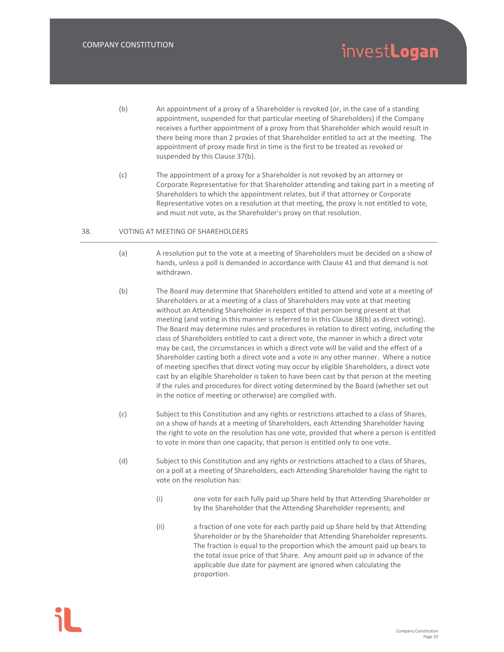- (b) An appointment of a proxy of a Shareholder is revoked (or, in the case of a standing appointment, suspended for that particular meeting of Shareholders) if the Company receives a further appointment of a proxy from that Shareholder which would result in there being more than 2 proxies of that Shareholder entitled to act at the meeting. The appointment of proxy made first in time is the first to be treated as revoked or suspended by this Clause 37(b).
- (c) The appointment of a proxy for a Shareholder is not revoked by an attorney or Corporate Representative for that Shareholder attending and taking part in a meeting of Shareholders to which the appointment relates, but if that attorney or Corporate Representative votes on a resolution at that meeting, the proxy is not entitled to vote, and must not vote, as the Shareholder's proxy on that resolution.

#### 38. VOTING AT MEETING OF SHAREHOLDERS

- (a) A resolution put to the vote at a meeting of Shareholders must be decided on a show of hands, unless a poll is demanded in accordance with Clause 41 and that demand is not withdrawn.
- (b) The Board may determine that Shareholders entitled to attend and vote at a meeting of Shareholders or at a meeting of a class of Shareholders may vote at that meeting without an Attending Shareholder in respect of that person being present at that meeting (and voting in this manner is referred to in this Clause 38(b) as direct voting). The Board may determine rules and procedures in relation to direct voting, including the class of Shareholders entitled to cast a direct vote, the manner in which a direct vote may be cast, the circumstances in which a direct vote will be valid and the effect of a Shareholder casting both a direct vote and a vote in any other manner. Where a notice of meeting specifies that direct voting may occur by eligible Shareholders, a direct vote cast by an eligible Shareholder is taken to have been cast by that person at the meeting if the rules and procedures for direct voting determined by the Board (whether set out in the notice of meeting or otherwise) are complied with.
- (c) Subject to this Constitution and any rights or restrictions attached to a class of Shares, on a show of hands at a meeting of Shareholders, each Attending Shareholder having the right to vote on the resolution has one vote, provided that where a person is entitled to vote in more than one capacity, that person is entitled only to one vote.
- (d) Subject to this Constitution and any rights or restrictions attached to a class of Shares, on a poll at a meeting of Shareholders, each Attending Shareholder having the right to vote on the resolution has:
	- (i) one vote for each fully paid up Share held by that Attending Shareholder or by the Shareholder that the Attending Shareholder represents; and
	- (ii) a fraction of one vote for each partly paid up Share held by that Attending Shareholder or by the Shareholder that Attending Shareholder represents. The fraction is equal to the proportion which the amount paid up bears to the total issue price of that Share. Any amount paid up in advance of the applicable due date for payment are ignored when calculating the proportion.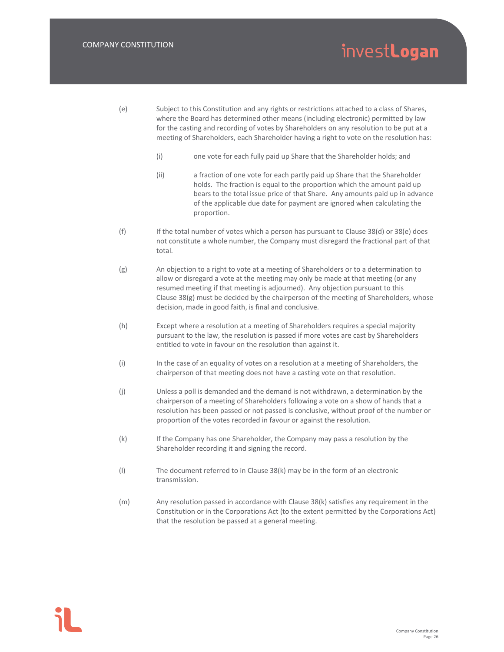- (e) Subject to this Constitution and any rights or restrictions attached to a class of Shares, where the Board has determined other means (including electronic) permitted by law for the casting and recording of votes by Shareholders on any resolution to be put at a meeting of Shareholders, each Shareholder having a right to vote on the resolution has:
	- (i) one vote for each fully paid up Share that the Shareholder holds; and
	- (ii) a fraction of one vote for each partly paid up Share that the Shareholder holds. The fraction is equal to the proportion which the amount paid up bears to the total issue price of that Share. Any amounts paid up in advance of the applicable due date for payment are ignored when calculating the proportion.
- (f) If the total number of votes which a person has pursuant to Clause 38(d) or 38(e) does not constitute a whole number, the Company must disregard the fractional part of that total.
- (g) An objection to a right to vote at a meeting of Shareholders or to a determination to allow or disregard a vote at the meeting may only be made at that meeting (or any resumed meeting if that meeting is adjourned). Any objection pursuant to this Clause  $38(g)$  must be decided by the chairperson of the meeting of Shareholders, whose decision, made in good faith, is final and conclusive.
- (h) Except where a resolution at a meeting of Shareholders requires a special majority pursuant to the law, the resolution is passed if more votes are cast by Shareholders entitled to vote in favour on the resolution than against it.
- (i) In the case of an equality of votes on a resolution at a meeting of Shareholders, the chairperson of that meeting does not have a casting vote on that resolution.
- (j) Unless a poll is demanded and the demand is not withdrawn, a determination by the chairperson of a meeting of Shareholders following a vote on a show of hands that a resolution has been passed or not passed is conclusive, without proof of the number or proportion of the votes recorded in favour or against the resolution.
- (k) If the Company has one Shareholder, the Company may pass a resolution by the Shareholder recording it and signing the record.
- (l) The document referred to in Clause 38(k) may be in the form of an electronic transmission.
- (m) Any resolution passed in accordance with Clause 38(k) satisfies any requirement in the Constitution or in the Corporations Act (to the extent permitted by the Corporations Act) that the resolution be passed at a general meeting.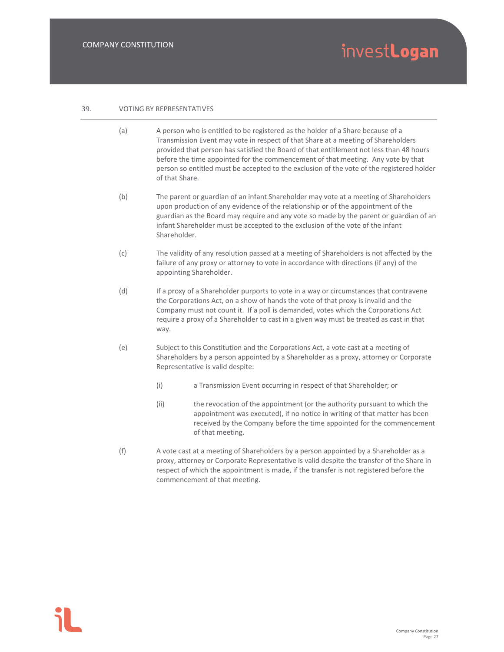#### 39. VOTING BY REPRESENTATIVES

- (a) A person who is entitled to be registered as the holder of a Share because of a Transmission Event may vote in respect of that Share at a meeting of Shareholders provided that person has satisfied the Board of that entitlement not less than 48 hours before the time appointed for the commencement of that meeting. Any vote by that person so entitled must be accepted to the exclusion of the vote of the registered holder of that Share.
- (b) The parent or guardian of an infant Shareholder may vote at a meeting of Shareholders upon production of any evidence of the relationship or of the appointment of the guardian as the Board may require and any vote so made by the parent or guardian of an infant Shareholder must be accepted to the exclusion of the vote of the infant Shareholder.
- (c) The validity of any resolution passed at a meeting of Shareholders is not affected by the failure of any proxy or attorney to vote in accordance with directions (if any) of the appointing Shareholder.
- (d) If a proxy of a Shareholder purports to vote in a way or circumstances that contravene the Corporations Act, on a show of hands the vote of that proxy is invalid and the Company must not count it. If a poll is demanded, votes which the Corporations Act require a proxy of a Shareholder to cast in a given way must be treated as cast in that way.
- (e) Subject to this Constitution and the Corporations Act, a vote cast at a meeting of Shareholders by a person appointed by a Shareholder as a proxy, attorney or Corporate Representative is valid despite:
	- (i) a Transmission Event occurring in respect of that Shareholder; or
	- (ii) the revocation of the appointment (or the authority pursuant to which the appointment was executed), if no notice in writing of that matter has been received by the Company before the time appointed for the commencement of that meeting.
- (f) A vote cast at a meeting of Shareholders by a person appointed by a Shareholder as a proxy, attorney or Corporate Representative is valid despite the transfer of the Share in respect of which the appointment is made, if the transfer is not registered before the commencement of that meeting.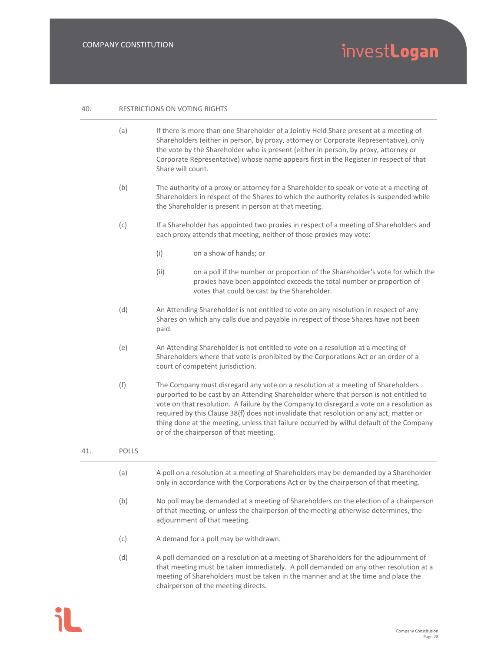#### 40. RESTRICTIONS ON VOTING RIGHTS

- (a) If there is more than one Shareholder of a Jointly Held Share present at a meeting of Shareholders (either in person, by proxy, attorney or Corporate Representative), only the vote by the Shareholder who is present (either in person, by proxy, attorney or Corporate Representative) whose name appears first in the Register in respect of that Share will count.
- (b) The authority of a proxy or attorney for a Shareholder to speak or vote at a meeting of Shareholders in respect of the Shares to which the authority relates is suspended while the Shareholder is present in person at that meeting.
- (c) If a Shareholder has appointed two proxies in respect of a meeting of Shareholders and each proxy attends that meeting, neither of those proxies may vote:
	- (i) on a show of hands; or
	- (ii) on a poll if the number or proportion of the Shareholder's vote for which the proxies have been appointed exceeds the total number or proportion of votes that could be cast by the Shareholder.
- (d) An Attending Shareholder is not entitled to vote on any resolution in respect of any Shares on which any calls due and payable in respect of those Shares have not been paid.
- (e) An Attending Shareholder is not entitled to vote on a resolution at a meeting of Shareholders where that vote is prohibited by the Corporations Act or an order of a court of competent jurisdiction.
- (f) The Company must disregard any vote on a resolution at a meeting of Shareholders purported to be cast by an Attending Shareholder where that person is not entitled to vote on that resolution. A failure by the Company to disregard a vote on a resolution as required by this Clause 38(f) does not invalidate that resolution or any act, matter or thing done at the meeting, unless that failure occurred by wilful default of the Company or of the chairperson of that meeting.
- 41. POLLS
	- (a) A poll on a resolution at a meeting of Shareholders may be demanded by a Shareholder only in accordance with the Corporations Act or by the chairperson of that meeting.
	- (b) No poll may be demanded at a meeting of Shareholders on the election of a chairperson of that meeting, or unless the chairperson of the meeting otherwise determines, the adjournment of that meeting.
	- (c) A demand for a poll may be withdrawn.
	- (d) A poll demanded on a resolution at a meeting of Shareholders for the adjournment of that meeting must be taken immediately. A poll demanded on any other resolution at a meeting of Shareholders must be taken in the manner and at the time and place the chairperson of the meeting directs.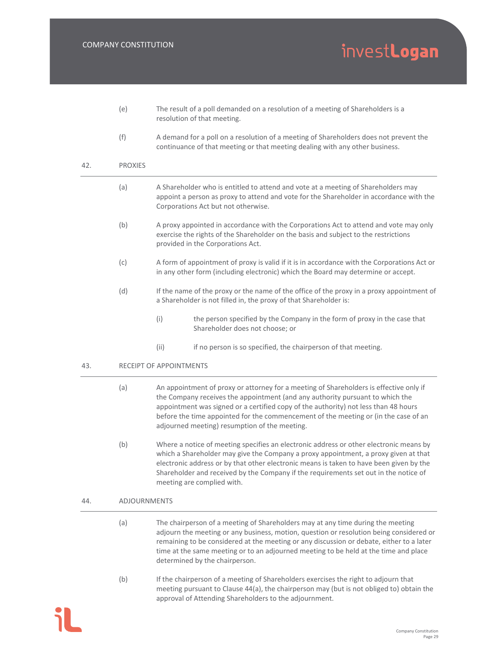|     | (e)                 | The result of a poll demanded on a resolution of a meeting of Shareholders is a<br>resolution of that meeting.                                                                                                                                                                                                                                                                                         |
|-----|---------------------|--------------------------------------------------------------------------------------------------------------------------------------------------------------------------------------------------------------------------------------------------------------------------------------------------------------------------------------------------------------------------------------------------------|
|     | (f)                 | A demand for a poll on a resolution of a meeting of Shareholders does not prevent the<br>continuance of that meeting or that meeting dealing with any other business.                                                                                                                                                                                                                                  |
| 42. | <b>PROXIES</b>      |                                                                                                                                                                                                                                                                                                                                                                                                        |
|     | (a)                 | A Shareholder who is entitled to attend and vote at a meeting of Shareholders may<br>appoint a person as proxy to attend and vote for the Shareholder in accordance with the<br>Corporations Act but not otherwise.                                                                                                                                                                                    |
|     | (b)                 | A proxy appointed in accordance with the Corporations Act to attend and vote may only<br>exercise the rights of the Shareholder on the basis and subject to the restrictions<br>provided in the Corporations Act.                                                                                                                                                                                      |
|     | (c)                 | A form of appointment of proxy is valid if it is in accordance with the Corporations Act or<br>in any other form (including electronic) which the Board may determine or accept.                                                                                                                                                                                                                       |
|     | (d)                 | If the name of the proxy or the name of the office of the proxy in a proxy appointment of<br>a Shareholder is not filled in, the proxy of that Shareholder is:                                                                                                                                                                                                                                         |
|     |                     | (i)<br>the person specified by the Company in the form of proxy in the case that<br>Shareholder does not choose; or                                                                                                                                                                                                                                                                                    |
|     |                     | (ii)<br>if no person is so specified, the chairperson of that meeting.                                                                                                                                                                                                                                                                                                                                 |
| 43. |                     | RECEIPT OF APPOINTMENTS                                                                                                                                                                                                                                                                                                                                                                                |
|     | (a)                 | An appointment of proxy or attorney for a meeting of Shareholders is effective only if<br>the Company receives the appointment (and any authority pursuant to which the<br>appointment was signed or a certified copy of the authority) not less than 48 hours<br>before the time appointed for the commencement of the meeting or (in the case of an<br>adjourned meeting) resumption of the meeting. |
|     | (b)                 | Where a notice of meeting specifies an electronic address or other electronic means by<br>which a Shareholder may give the Company a proxy appointment, a proxy given at that<br>electronic address or by that other electronic means is taken to have been given by the<br>Shareholder and received by the Company if the requirements set out in the notice of<br>meeting are complied with.         |
| 44. | <b>ADJOURNMENTS</b> |                                                                                                                                                                                                                                                                                                                                                                                                        |
|     | (a)                 | The chairperson of a meeting of Shareholders may at any time during the meeting<br>adjourn the meeting or any business, motion, question or resolution being considered or<br>remaining to be considered at the meeting or any discussion or debate, either to a later<br>time at the same meeting or to an adjourned meeting to be held at the time and place<br>determined by the chairperson.       |

(b) If the chairperson of a meeting of Shareholders exercises the right to adjourn that meeting pursuant to Clause 44(a), the chairperson may (but is not obliged to) obtain the approval of Attending Shareholders to the adjournment.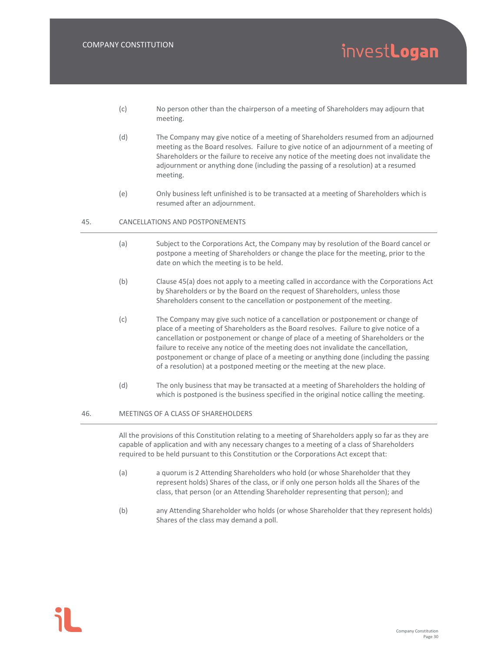- (c) No person other than the chairperson of a meeting of Shareholders may adjourn that meeting.
- (d) The Company may give notice of a meeting of Shareholders resumed from an adjourned meeting as the Board resolves. Failure to give notice of an adjournment of a meeting of Shareholders or the failure to receive any notice of the meeting does not invalidate the adjournment or anything done (including the passing of a resolution) at a resumed meeting.
- (e) Only business left unfinished is to be transacted at a meeting of Shareholders which is resumed after an adjournment.

#### 45. CANCELLATIONS AND POSTPONEMENTS

- (a) Subject to the Corporations Act, the Company may by resolution of the Board cancel or postpone a meeting of Shareholders or change the place for the meeting, prior to the date on which the meeting is to be held.
- (b) Clause 45(a) does not apply to a meeting called in accordance with the Corporations Act by Shareholders or by the Board on the request of Shareholders, unless those Shareholders consent to the cancellation or postponement of the meeting.
- (c) The Company may give such notice of a cancellation or postponement or change of place of a meeting of Shareholders as the Board resolves. Failure to give notice of a cancellation or postponement or change of place of a meeting of Shareholders or the failure to receive any notice of the meeting does not invalidate the cancellation, postponement or change of place of a meeting or anything done (including the passing of a resolution) at a postponed meeting or the meeting at the new place.
- (d) The only business that may be transacted at a meeting of Shareholders the holding of which is postponed is the business specified in the original notice calling the meeting.

#### 46. MEETINGS OF A CLASS OF SHAREHOLDERS

All the provisions of this Constitution relating to a meeting of Shareholders apply so far as they are capable of application and with any necessary changes to a meeting of a class of Shareholders required to be held pursuant to this Constitution or the Corporations Act except that:

- (a) a quorum is 2 Attending Shareholders who hold (or whose Shareholder that they represent holds) Shares of the class, or if only one person holds all the Shares of the class, that person (or an Attending Shareholder representing that person); and
- (b) any Attending Shareholder who holds (or whose Shareholder that they represent holds) Shares of the class may demand a poll.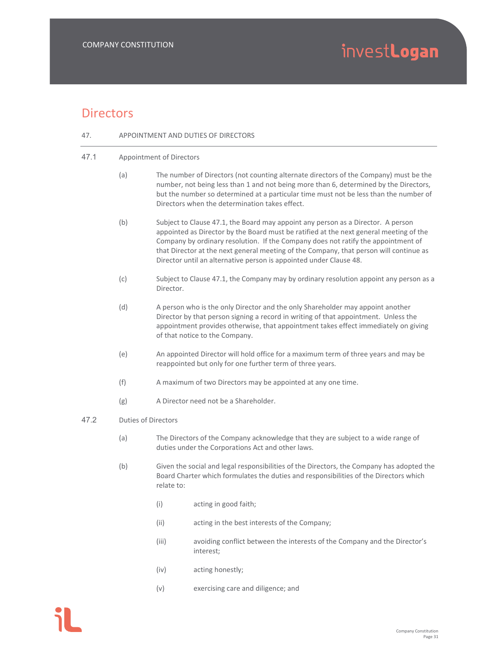### **Directors**

#### 47. APPOINTMENT AND DUTIES OF DIRECTORS

- 47.1 Appointment of Directors
	- (a) The number of Directors (not counting alternate directors of the Company) must be the number, not being less than 1 and not being more than 6, determined by the Directors, but the number so determined at a particular time must not be less than the number of Directors when the determination takes effect.
	- (b) Subject to Clause 47.1, the Board may appoint any person as a Director. A person appointed as Director by the Board must be ratified at the next general meeting of the Company by ordinary resolution. If the Company does not ratify the appointment of that Director at the next general meeting of the Company, that person will continue as Director until an alternative person is appointed under Clause 48.
	- (c) Subject to Clause 47.1, the Company may by ordinary resolution appoint any person as a Director.
	- (d) A person who is the only Director and the only Shareholder may appoint another Director by that person signing a record in writing of that appointment. Unless the appointment provides otherwise, that appointment takes effect immediately on giving of that notice to the Company.
	- (e) An appointed Director will hold office for a maximum term of three years and may be reappointed but only for one further term of three years.
	- (f) A maximum of two Directors may be appointed at any one time.
	- (g) A Director need not be a Shareholder.

#### 47.2 Duties of Directors

- (a) The Directors of the Company acknowledge that they are subject to a wide range of duties under the Corporations Act and other laws.
- (b) Given the social and legal responsibilities of the Directors, the Company has adopted the Board Charter which formulates the duties and responsibilities of the Directors which relate to:
	- (i) acting in good faith;
	- (ii) acting in the best interests of the Company;
	- (iii) avoiding conflict between the interests of the Company and the Director's interest;
	- (iv) acting honestly;
	- (v) exercising care and diligence; and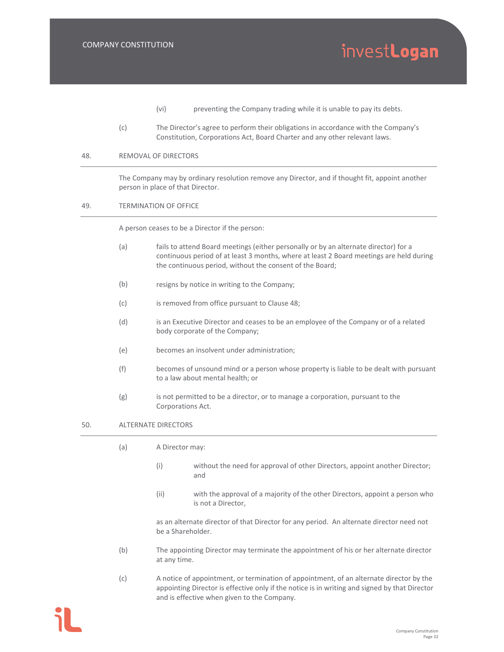- (vi) preventing the Company trading while it is unable to pay its debts.
- (c) The Director's agree to perform their obligations in accordance with the Company's Constitution, Corporations Act, Board Charter and any other relevant laws.

#### 48. REMOVAL OF DIRECTORS

The Company may by ordinary resolution remove any Director, and if thought fit, appoint another person in place of that Director.

#### 49. TERMINATION OF OFFICE

A person ceases to be a Director if the person:

- (a) fails to attend Board meetings (either personally or by an alternate director) for a continuous period of at least 3 months, where at least 2 Board meetings are held during the continuous period, without the consent of the Board;
- (b) resigns by notice in writing to the Company;
- (c) is removed from office pursuant to Clause 48;
- (d) is an Executive Director and ceases to be an employee of the Company or of a related body corporate of the Company;
- (e) becomes an insolvent under administration;
- (f) becomes of unsound mind or a person whose property is liable to be dealt with pursuant to a law about mental health; or
- (g) is not permitted to be a director, or to manage a corporation, pursuant to the Corporations Act.

#### 50. ALTERNATE DIRECTORS

- (a) A Director may:
	- (i) without the need for approval of other Directors, appoint another Director; and
	- (ii) with the approval of a majority of the other Directors, appoint a person who is not a Director,

as an alternate director of that Director for any period. An alternate director need not be a Shareholder.

- (b) The appointing Director may terminate the appointment of his or her alternate director at any time.
- (c) A notice of appointment, or termination of appointment, of an alternate director by the appointing Director is effective only if the notice is in writing and signed by that Director and is effective when given to the Company.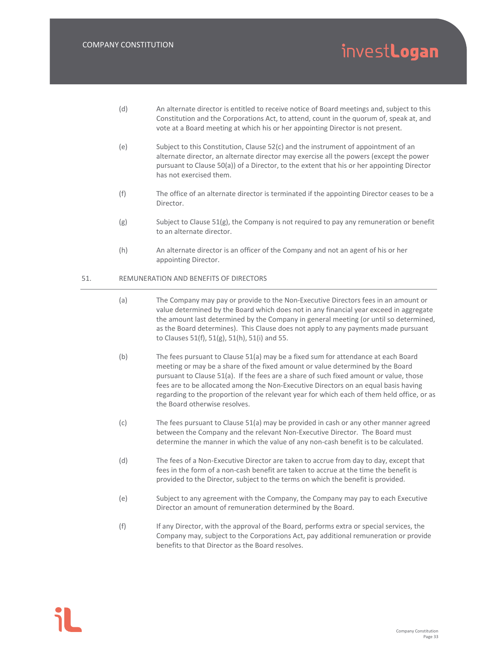- (d) An alternate director is entitled to receive notice of Board meetings and, subject to this Constitution and the Corporations Act, to attend, count in the quorum of, speak at, and vote at a Board meeting at which his or her appointing Director is not present.
- (e) Subject to this Constitution, Clause 52(c) and the instrument of appointment of an alternate director, an alternate director may exercise all the powers (except the power pursuant to Clause 50(a)) of a Director, to the extent that his or her appointing Director has not exercised them.
- (f) The office of an alternate director is terminated if the appointing Director ceases to be a Director.
- $(g)$  Subject to Clause 51(g), the Company is not required to pay any remuneration or benefit to an alternate director.
- (h) An alternate director is an officer of the Company and not an agent of his or her appointing Director.

#### 51. REMUNERATION AND BENEFITS OF DIRECTORS

- (a) The Company may pay or provide to the Non‐Executive Directors fees in an amount or value determined by the Board which does not in any financial year exceed in aggregate the amount last determined by the Company in general meeting (or until so determined, as the Board determines). This Clause does not apply to any payments made pursuant to Clauses 51(f), 51(g), 51(h), 51(i) and 55.
- (b) The fees pursuant to Clause 51(a) may be a fixed sum for attendance at each Board meeting or may be a share of the fixed amount or value determined by the Board pursuant to Clause 51(a). If the fees are a share of such fixed amount or value, those fees are to be allocated among the Non-Executive Directors on an equal basis having regarding to the proportion of the relevant year for which each of them held office, or as the Board otherwise resolves.
- (c) The fees pursuant to Clause 51(a) may be provided in cash or any other manner agreed between the Company and the relevant Non‐Executive Director. The Board must determine the manner in which the value of any non-cash benefit is to be calculated.
- (d) The fees of a Non‐Executive Director are taken to accrue from day to day, except that fees in the form of a non-cash benefit are taken to accrue at the time the benefit is provided to the Director, subject to the terms on which the benefit is provided.
- (e) Subject to any agreement with the Company, the Company may pay to each Executive Director an amount of remuneration determined by the Board.
- (f) If any Director, with the approval of the Board, performs extra or special services, the Company may, subject to the Corporations Act, pay additional remuneration or provide benefits to that Director as the Board resolves.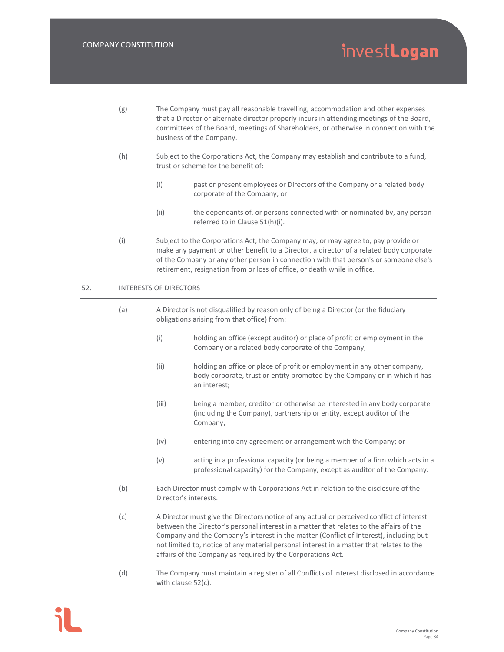- (g) The Company must pay all reasonable travelling, accommodation and other expenses that a Director or alternate director properly incurs in attending meetings of the Board, committees of the Board, meetings of Shareholders, or otherwise in connection with the business of the Company.
- (h) Subject to the Corporations Act, the Company may establish and contribute to a fund, trust or scheme for the benefit of:
	- (i) past or present employees or Directors of the Company or a related body corporate of the Company; or
	- (ii) the dependants of, or persons connected with or nominated by, any person referred to in Clause 51(h)(i).
- (i) Subject to the Corporations Act, the Company may, or may agree to, pay provide or make any payment or other benefit to a Director, a director of a related body corporate of the Company or any other person in connection with that person's or someone else's retirement, resignation from or loss of office, or death while in office.

#### 52. INTERESTS OF DIRECTORS

- (a) A Director is not disqualified by reason only of being a Director (or the fiduciary obligations arising from that office) from:
	- (i) holding an office (except auditor) or place of profit or employment in the Company or a related body corporate of the Company;
	- (ii) holding an office or place of profit or employment in any other company, body corporate, trust or entity promoted by the Company or in which it has an interest;
	- (iii) being a member, creditor or otherwise be interested in any body corporate (including the Company), partnership or entity, except auditor of the Company;
	- (iv) entering into any agreement or arrangement with the Company; or
	- (v) acting in a professional capacity (or being a member of a firm which acts in a professional capacity) for the Company, except as auditor of the Company.
- (b) Each Director must comply with Corporations Act in relation to the disclosure of the Director's interests.
- (c) A Director must give the Directors notice of any actual or perceived conflict of interest between the Director's personal interest in a matter that relates to the affairs of the Company and the Company's interest in the matter (Conflict of Interest), including but not limited to, notice of any material personal interest in a matter that relates to the affairs of the Company as required by the Corporations Act.
- (d) The Company must maintain a register of all Conflicts of Interest disclosed in accordance with clause 52(c).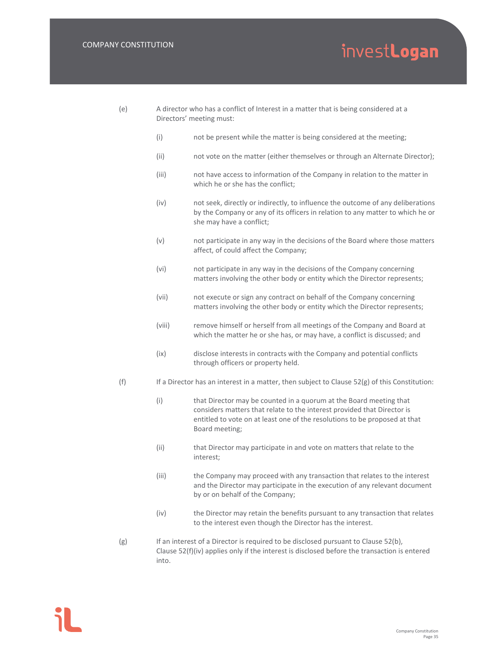- (e) A director who has a conflict of Interest in a matter that is being considered at a Directors' meeting must:
	- (i) not be present while the matter is being considered at the meeting;
	- (ii) not vote on the matter (either themselves or through an Alternate Director);
	- (iii) not have access to information of the Company in relation to the matter in which he or she has the conflict;
	- (iv) not seek, directly or indirectly, to influence the outcome of any deliberations by the Company or any of its officers in relation to any matter to which he or she may have a conflict;
	- (v) not participate in any way in the decisions of the Board where those matters affect, of could affect the Company;
	- (vi) not participate in any way in the decisions of the Company concerning matters involving the other body or entity which the Director represents;
	- (vii) not execute or sign any contract on behalf of the Company concerning matters involving the other body or entity which the Director represents;
	- (viii) remove himself or herself from all meetings of the Company and Board at which the matter he or she has, or may have, a conflict is discussed; and
	- (ix) disclose interests in contracts with the Company and potential conflicts through officers or property held.
- (f) If a Director has an interest in a matter, then subject to Clause  $52(g)$  of this Constitution:
	- (i) that Director may be counted in a quorum at the Board meeting that considers matters that relate to the interest provided that Director is entitled to vote on at least one of the resolutions to be proposed at that Board meeting;
	- (ii) that Director may participate in and vote on matters that relate to the interest;
	- (iii) the Company may proceed with any transaction that relates to the interest and the Director may participate in the execution of any relevant document by or on behalf of the Company;
	- (iv) the Director may retain the benefits pursuant to any transaction that relates to the interest even though the Director has the interest.
- (g) If an interest of a Director is required to be disclosed pursuant to Clause 52(b), Clause 52(f)(iv) applies only if the interest is disclosed before the transaction is entered into.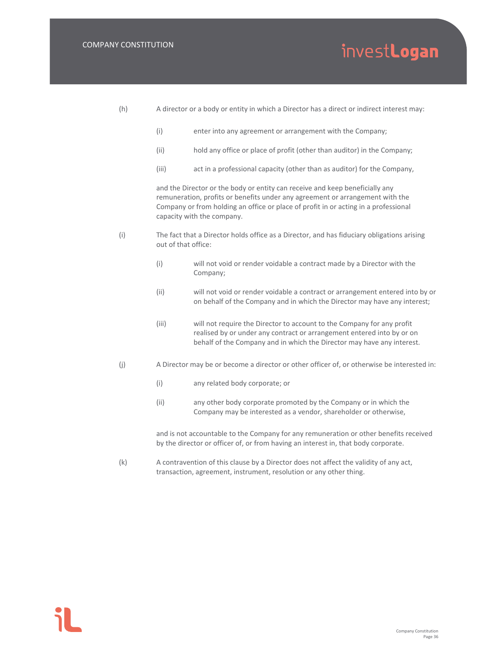#### COMPANY CONSTITUTION

### investLogan

- (h) A director or a body or entity in which a Director has a direct or indirect interest may:
	- (i) enter into any agreement or arrangement with the Company;
	- (ii) hold any office or place of profit (other than auditor) in the Company;
	- (iii) act in a professional capacity (other than as auditor) for the Company,

and the Director or the body or entity can receive and keep beneficially any remuneration, profits or benefits under any agreement or arrangement with the Company or from holding an office or place of profit in or acting in a professional capacity with the company.

- (i) The fact that a Director holds office as a Director, and has fiduciary obligations arising out of that office:
	- (i) will not void or render voidable a contract made by a Director with the Company;
	- (ii) will not void or render voidable a contract or arrangement entered into by or on behalf of the Company and in which the Director may have any interest;
	- (iii) will not require the Director to account to the Company for any profit realised by or under any contract or arrangement entered into by or on behalf of the Company and in which the Director may have any interest.
- (j) A Director may be or become a director or other officer of, or otherwise be interested in:
	- (i) any related body corporate; or
	- (ii) any other body corporate promoted by the Company or in which the Company may be interested as a vendor, shareholder or otherwise,

and is not accountable to the Company for any remuneration or other benefits received by the director or officer of, or from having an interest in, that body corporate.

(k) A contravention of this clause by a Director does not affect the validity of any act, transaction, agreement, instrument, resolution or any other thing.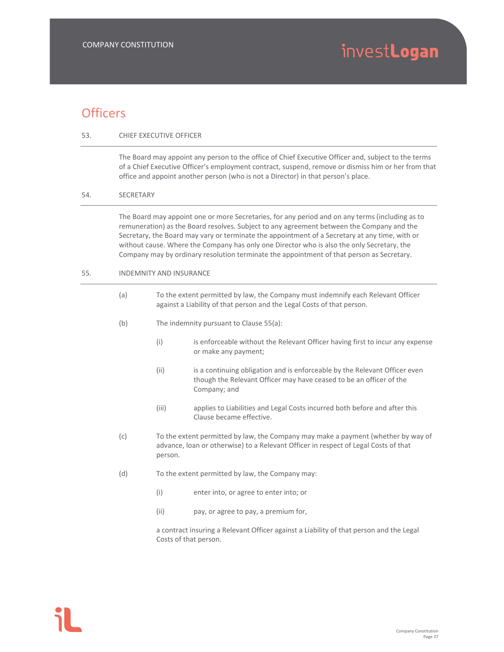### **Officers**

#### 53. CHIEF EXECUTIVE OFFICER

The Board may appoint any person to the office of Chief Executive Officer and, subject to the terms of a Chief Executive Officer's employment contract, suspend, remove or dismiss him or her from that office and appoint another person (who is not a Director) in that person's place.

#### 54. SECRETARY

The Board may appoint one or more Secretaries, for any period and on any terms (including as to remuneration) as the Board resolves. Subject to any agreement between the Company and the Secretary, the Board may vary or terminate the appointment of a Secretary at any time, with or without cause. Where the Company has only one Director who is also the only Secretary, the Company may by ordinary resolution terminate the appointment of that person as Secretary.

#### 55. INDEMNITY AND INSURANCE

- (a) To the extent permitted by law, the Company must indemnify each Relevant Officer against a Liability of that person and the Legal Costs of that person.
- (b) The indemnity pursuant to Clause 55(a):
	- (i) is enforceable without the Relevant Officer having first to incur any expense or make any payment;
	- (ii) is a continuing obligation and is enforceable by the Relevant Officer even though the Relevant Officer may have ceased to be an officer of the Company; and
	- (iii) applies to Liabilities and Legal Costs incurred both before and after this Clause became effective.
- (c) To the extent permitted by law, the Company may make a payment (whether by way of advance, loan or otherwise) to a Relevant Officer in respect of Legal Costs of that person.
- (d) To the extent permitted by law, the Company may:
	- (i) enter into, or agree to enter into; or
	- (ii) pay, or agree to pay, a premium for,

a contract insuring a Relevant Officer against a Liability of that person and the Legal Costs of that person.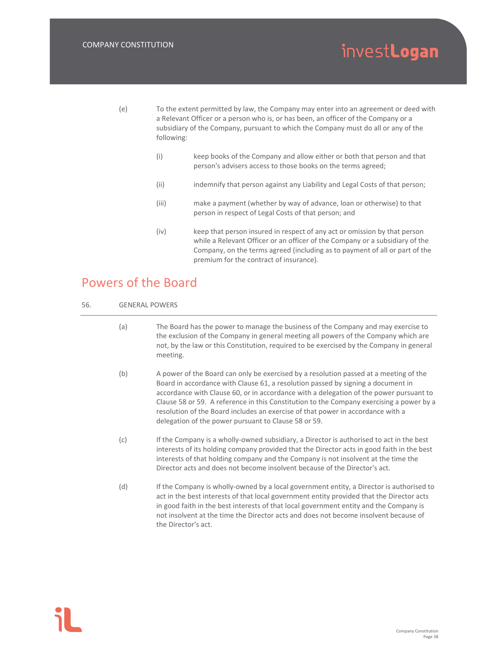- (e) To the extent permitted by law, the Company may enter into an agreement or deed with a Relevant Officer or a person who is, or has been, an officer of the Company or a subsidiary of the Company, pursuant to which the Company must do all or any of the following:
	- (i) keep books of the Company and allow either or both that person and that person's advisers access to those books on the terms agreed;
	- (ii) indemnify that person against any Liability and Legal Costs of that person;
	- (iii) make a payment (whether by way of advance, loan or otherwise) to that person in respect of Legal Costs of that person; and
	- (iv) keep that person insured in respect of any act or omission by that person while a Relevant Officer or an officer of the Company or a subsidiary of the Company, on the terms agreed (including as to payment of all or part of the premium for the contract of insurance).

### Powers of the Board

| 56. | <b>GENERAL POWERS</b> |  |
|-----|-----------------------|--|
|-----|-----------------------|--|

- (a) The Board has the power to manage the business of the Company and may exercise to the exclusion of the Company in general meeting all powers of the Company which are not, by the law or this Constitution, required to be exercised by the Company in general meeting.
- (b) A power of the Board can only be exercised by a resolution passed at a meeting of the Board in accordance with Clause 61, a resolution passed by signing a document in accordance with Clause 60, or in accordance with a delegation of the power pursuant to Clause 58 or 59. A reference in this Constitution to the Company exercising a power by a resolution of the Board includes an exercise of that power in accordance with a delegation of the power pursuant to Clause 58 or 59.
- (c) If the Company is a wholly‐owned subsidiary, a Director is authorised to act in the best interests of its holding company provided that the Director acts in good faith in the best interests of that holding company and the Company is not insolvent at the time the Director acts and does not become insolvent because of the Director's act.
- (d) If the Company is wholly‐owned by a local government entity, a Director is authorised to act in the best interests of that local government entity provided that the Director acts in good faith in the best interests of that local government entity and the Company is not insolvent at the time the Director acts and does not become insolvent because of the Director's act.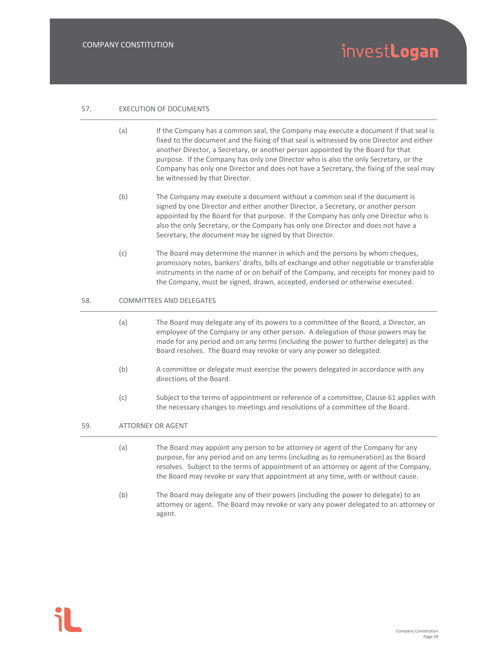#### 57. EXECUTION OF DOCUMENTS

- (a) If the Company has a common seal, the Company may execute a document if that seal is fixed to the document and the fixing of that seal is witnessed by one Director and either another Director, a Secretary, or another person appointed by the Board for that purpose. If the Company has only one Director who is also the only Secretary, or the Company has only one Director and does not have a Secretary, the fixing of the seal may be witnessed by that Director.
- (b) The Company may execute a document without a common seal if the document is signed by one Director and either another Director, a Secretary, or another person appointed by the Board for that purpose. If the Company has only one Director who is also the only Secretary, or the Company has only one Director and does not have a Secretary, the document may be signed by that Director.
- (c) The Board may determine the manner in which and the persons by whom cheques, promissory notes, bankers' drafts, bills of exchange and other negotiable or transferable instruments in the name of or on behalf of the Company, and receipts for money paid to the Company, must be signed, drawn, accepted, endorsed or otherwise executed.

#### 58. COMMITTEES AND DELEGATES

- (a) The Board may delegate any of its powers to a committee of the Board, a Director, an employee of the Company or any other person. A delegation of those powers may be made for any period and on any terms (including the power to further delegate) as the Board resolves. The Board may revoke or vary any power so delegated.
- (b) A committee or delegate must exercise the powers delegated in accordance with any directions of the Board.
- (c) Subject to the terms of appointment or reference of a committee, Clause 61 applies with the necessary changes to meetings and resolutions of a committee of the Board.

#### 59. ATTORNEY OR AGENT

- (a) The Board may appoint any person to be attorney or agent of the Company for any purpose, for any period and on any terms (including as to remuneration) as the Board resolves. Subject to the terms of appointment of an attorney or agent of the Company, the Board may revoke or vary that appointment at any time, with or without cause.
- (b) The Board may delegate any of their powers (including the power to delegate) to an attorney or agent. The Board may revoke or vary any power delegated to an attorney or agent.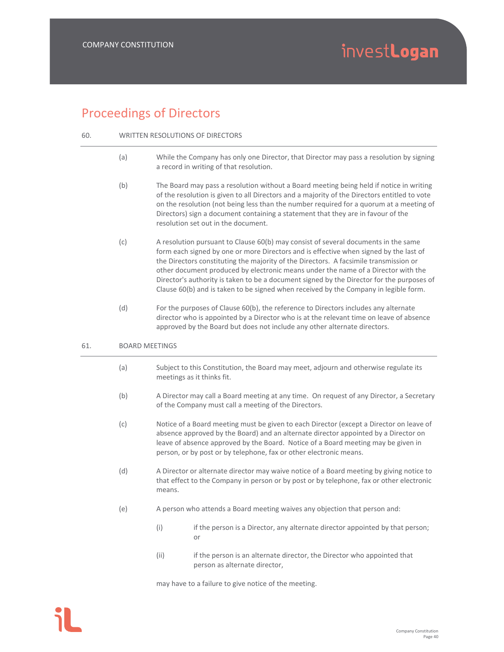### Proceedings of Directors

- 60. WRITTEN RESOLUTIONS OF DIRECTORS
	- (a) While the Company has only one Director, that Director may pass a resolution by signing a record in writing of that resolution.
	- (b) The Board may pass a resolution without a Board meeting being held if notice in writing of the resolution is given to all Directors and a majority of the Directors entitled to vote on the resolution (not being less than the number required for a quorum at a meeting of Directors) sign a document containing a statement that they are in favour of the resolution set out in the document.
	- (c) A resolution pursuant to Clause 60(b) may consist of several documents in the same form each signed by one or more Directors and is effective when signed by the last of the Directors constituting the majority of the Directors. A facsimile transmission or other document produced by electronic means under the name of a Director with the Director's authority is taken to be a document signed by the Director for the purposes of Clause 60(b) and is taken to be signed when received by the Company in legible form.
	- (d) For the purposes of Clause 60(b), the reference to Directors includes any alternate director who is appointed by a Director who is at the relevant time on leave of absence approved by the Board but does not include any other alternate directors.

#### 61. BOARD MEETINGS

- (a) Subject to this Constitution, the Board may meet, adjourn and otherwise regulate its meetings as it thinks fit.
- (b) A Director may call a Board meeting at any time. On request of any Director, a Secretary of the Company must call a meeting of the Directors.
- (c) Notice of a Board meeting must be given to each Director (except a Director on leave of absence approved by the Board) and an alternate director appointed by a Director on leave of absence approved by the Board. Notice of a Board meeting may be given in person, or by post or by telephone, fax or other electronic means.
- (d) A Director or alternate director may waive notice of a Board meeting by giving notice to that effect to the Company in person or by post or by telephone, fax or other electronic means.
- (e) A person who attends a Board meeting waives any objection that person and:
	- (i) if the person is a Director, any alternate director appointed by that person; or
	- (ii) if the person is an alternate director, the Director who appointed that person as alternate director,

may have to a failure to give notice of the meeting.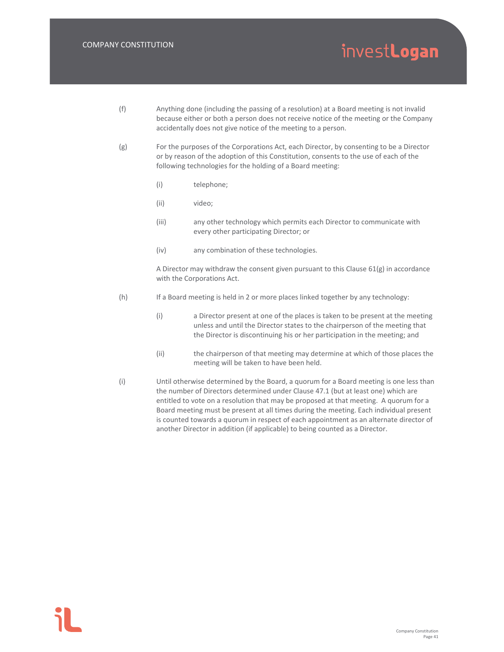- (f) Anything done (including the passing of a resolution) at a Board meeting is not invalid because either or both a person does not receive notice of the meeting or the Company accidentally does not give notice of the meeting to a person.
- (g) For the purposes of the Corporations Act, each Director, by consenting to be a Director or by reason of the adoption of this Constitution, consents to the use of each of the following technologies for the holding of a Board meeting:
	- (i) telephone;
	- (ii) video;
	- (iii) any other technology which permits each Director to communicate with every other participating Director; or
	- (iv) any combination of these technologies.

A Director may withdraw the consent given pursuant to this Clause  $61(g)$  in accordance with the Corporations Act.

- (h) If a Board meeting is held in 2 or more places linked together by any technology:
	- (i) a Director present at one of the places is taken to be present at the meeting unless and until the Director states to the chairperson of the meeting that the Director is discontinuing his or her participation in the meeting; and
	- (ii) the chairperson of that meeting may determine at which of those places the meeting will be taken to have been held.
- (i) Until otherwise determined by the Board, a quorum for a Board meeting is one less than the number of Directors determined under Clause 47.1 (but at least one) which are entitled to vote on a resolution that may be proposed at that meeting. A quorum for a Board meeting must be present at all times during the meeting. Each individual present is counted towards a quorum in respect of each appointment as an alternate director of another Director in addition (if applicable) to being counted as a Director.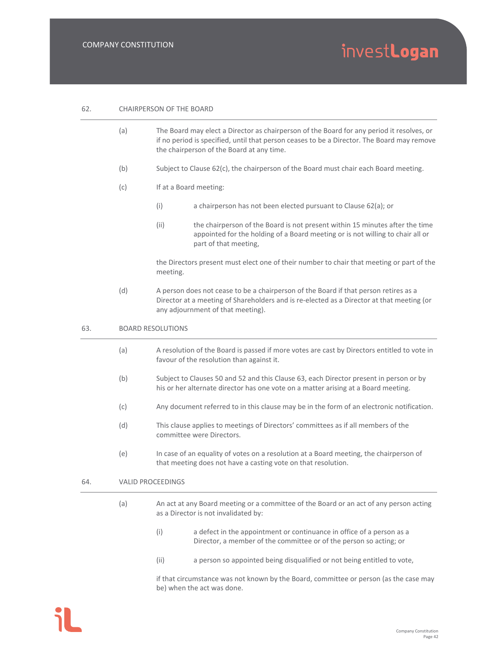| invest <b>Logan</b> |  |
|---------------------|--|
|                     |  |

| 62. | CHAIRPERSON OF THE BOARD |  |
|-----|--------------------------|--|
|     |                          |  |

- (a) The Board may elect a Director as chairperson of the Board for any period it resolves, or if no period is specified, until that person ceases to be a Director. The Board may remove the chairperson of the Board at any time.
- (b) Subject to Clause 62(c), the chairperson of the Board must chair each Board meeting.
- (c) If at a Board meeting:
	- (i) a chairperson has not been elected pursuant to Clause 62(a); or
	- (ii) the chairperson of the Board is not present within 15 minutes after the time appointed for the holding of a Board meeting or is not willing to chair all or part of that meeting,

the Directors present must elect one of their number to chair that meeting or part of the meeting.

(d) A person does not cease to be a chairperson of the Board if that person retires as a Director at a meeting of Shareholders and is re‐elected as a Director at that meeting (or any adjournment of that meeting).

#### 63. BOARD RESOLUTIONS

- (a) A resolution of the Board is passed if more votes are cast by Directors entitled to vote in favour of the resolution than against it.
- (b) Subject to Clauses 50 and 52 and this Clause 63, each Director present in person or by his or her alternate director has one vote on a matter arising at a Board meeting.
- (c) Any document referred to in this clause may be in the form of an electronic notification.
- (d) This clause applies to meetings of Directors' committees as if all members of the committee were Directors.
- (e) In case of an equality of votes on a resolution at a Board meeting, the chairperson of that meeting does not have a casting vote on that resolution.

#### 64. VALID PROCEEDINGS

- (a) An act at any Board meeting or a committee of the Board or an act of any person acting as a Director is not invalidated by:
	- (i) a defect in the appointment or continuance in office of a person as a Director, a member of the committee or of the person so acting; or
	- (ii) a person so appointed being disqualified or not being entitled to vote,

if that circumstance was not known by the Board, committee or person (as the case may be) when the act was done.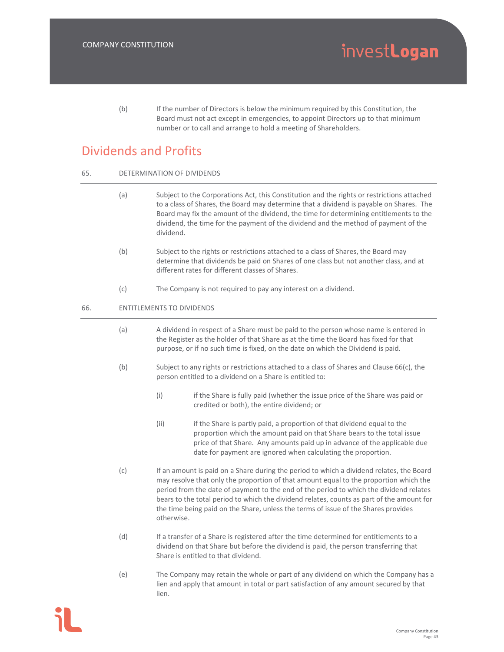(b) If the number of Directors is below the minimum required by this Constitution, the Board must not act except in emergencies, to appoint Directors up to that minimum number or to call and arrange to hold a meeting of Shareholders.

### Dividends and Profits

#### 65. DETERMINATION OF DIVIDENDS

- (a) Subject to the Corporations Act, this Constitution and the rights or restrictions attached to a class of Shares, the Board may determine that a dividend is payable on Shares. The Board may fix the amount of the dividend, the time for determining entitlements to the dividend, the time for the payment of the dividend and the method of payment of the dividend.
- (b) Subject to the rights or restrictions attached to a class of Shares, the Board may determine that dividends be paid on Shares of one class but not another class, and at different rates for different classes of Shares.
- (c) The Company is not required to pay any interest on a dividend.

#### 66. ENTITLEMENTS TO DIVIDENDS

- (a) A dividend in respect of a Share must be paid to the person whose name is entered in the Register as the holder of that Share as at the time the Board has fixed for that purpose, or if no such time is fixed, on the date on which the Dividend is paid.
- (b) Subject to any rights or restrictions attached to a class of Shares and Clause 66(c), the person entitled to a dividend on a Share is entitled to:
	- (i) if the Share is fully paid (whether the issue price of the Share was paid or credited or both), the entire dividend; or
	- (ii) if the Share is partly paid, a proportion of that dividend equal to the proportion which the amount paid on that Share bears to the total issue price of that Share. Any amounts paid up in advance of the applicable due date for payment are ignored when calculating the proportion.
- (c) If an amount is paid on a Share during the period to which a dividend relates, the Board may resolve that only the proportion of that amount equal to the proportion which the period from the date of payment to the end of the period to which the dividend relates bears to the total period to which the dividend relates, counts as part of the amount for the time being paid on the Share, unless the terms of issue of the Shares provides otherwise.
- (d) If a transfer of a Share is registered after the time determined for entitlements to a dividend on that Share but before the dividend is paid, the person transferring that Share is entitled to that dividend.
- (e) The Company may retain the whole or part of any dividend on which the Company has a lien and apply that amount in total or part satisfaction of any amount secured by that lien.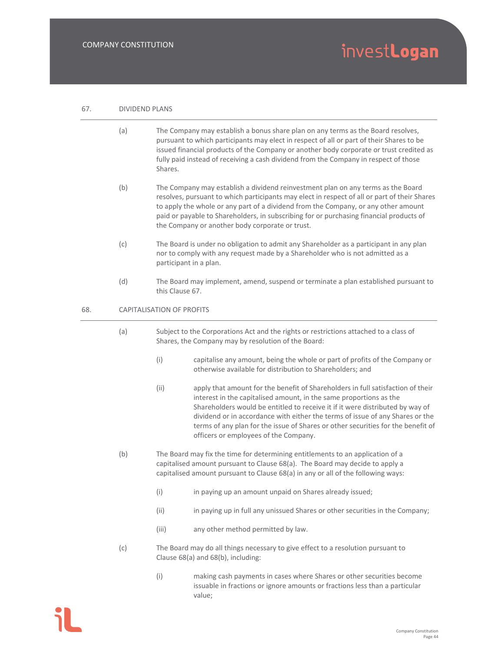#### 67. DIVIDEND PLANS

- (a) The Company may establish a bonus share plan on any terms as the Board resolves, pursuant to which participants may elect in respect of all or part of their Shares to be issued financial products of the Company or another body corporate or trust credited as fully paid instead of receiving a cash dividend from the Company in respect of those Shares.
- (b) The Company may establish a dividend reinvestment plan on any terms as the Board resolves, pursuant to which participants may elect in respect of all or part of their Shares to apply the whole or any part of a dividend from the Company, or any other amount paid or payable to Shareholders, in subscribing for or purchasing financial products of the Company or another body corporate or trust.
- (c) The Board is under no obligation to admit any Shareholder as a participant in any plan nor to comply with any request made by a Shareholder who is not admitted as a participant in a plan.
- (d) The Board may implement, amend, suspend or terminate a plan established pursuant to this Clause 67.

#### 68. CAPITALISATION OF PROFITS

- (a) Subject to the Corporations Act and the rights or restrictions attached to a class of Shares, the Company may by resolution of the Board:
	- (i) capitalise any amount, being the whole or part of profits of the Company or otherwise available for distribution to Shareholders; and
	- (ii) apply that amount for the benefit of Shareholders in full satisfaction of their interest in the capitalised amount, in the same proportions as the Shareholders would be entitled to receive it if it were distributed by way of dividend or in accordance with either the terms of issue of any Shares or the terms of any plan for the issue of Shares or other securities for the benefit of officers or employees of the Company.
- (b) The Board may fix the time for determining entitlements to an application of a capitalised amount pursuant to Clause 68(a). The Board may decide to apply a capitalised amount pursuant to Clause 68(a) in any or all of the following ways:
	- (i) in paying up an amount unpaid on Shares already issued;
	- (ii) in paying up in full any unissued Shares or other securities in the Company;
	- (iii) any other method permitted by law.
- (c) The Board may do all things necessary to give effect to a resolution pursuant to Clause 68(a) and 68(b), including:
	- (i) making cash payments in cases where Shares or other securities become issuable in fractions or ignore amounts or fractions less than a particular value;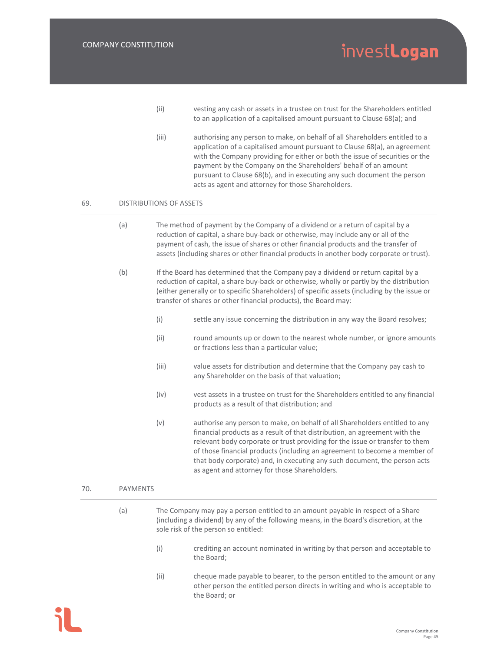| (iii) | vesting any cash or assets in a trustee on trust for the Shareholders entitled |
|-------|--------------------------------------------------------------------------------|
|       | to an application of a capitalised amount pursuant to Clause 68(a); and        |

(iii) authorising any person to make, on behalf of all Shareholders entitled to a application of a capitalised amount pursuant to Clause 68(a), an agreement with the Company providing for either or both the issue of securities or the payment by the Company on the Shareholders' behalf of an amount pursuant to Clause 68(b), and in executing any such document the person acts as agent and attorney for those Shareholders.

#### 69. DISTRIBUTIONS OF ASSETS

- (a) The method of payment by the Company of a dividend or a return of capital by a reduction of capital, a share buy‐back or otherwise, may include any or all of the payment of cash, the issue of shares or other financial products and the transfer of assets (including shares or other financial products in another body corporate or trust).
- (b) If the Board has determined that the Company pay a dividend or return capital by a reduction of capital, a share buy‐back or otherwise, wholly or partly by the distribution (either generally or to specific Shareholders) of specific assets (including by the issue or transfer of shares or other financial products), the Board may:
	- (i) settle any issue concerning the distribution in any way the Board resolves;
	- (ii) round amounts up or down to the nearest whole number, or ignore amounts or fractions less than a particular value;
	- (iii) value assets for distribution and determine that the Company pay cash to any Shareholder on the basis of that valuation;
	- (iv) vest assets in a trustee on trust for the Shareholders entitled to any financial products as a result of that distribution; and
	- (v) authorise any person to make, on behalf of all Shareholders entitled to any financial products as a result of that distribution, an agreement with the relevant body corporate or trust providing for the issue or transfer to them of those financial products (including an agreement to become a member of that body corporate) and, in executing any such document, the person acts as agent and attorney for those Shareholders.

#### 70. PAYMENTS

- (a) The Company may pay a person entitled to an amount payable in respect of a Share (including a dividend) by any of the following means, in the Board's discretion, at the sole risk of the person so entitled:
	- (i) crediting an account nominated in writing by that person and acceptable to the Board;
	- (ii) cheque made payable to bearer, to the person entitled to the amount or any other person the entitled person directs in writing and who is acceptable to the Board; or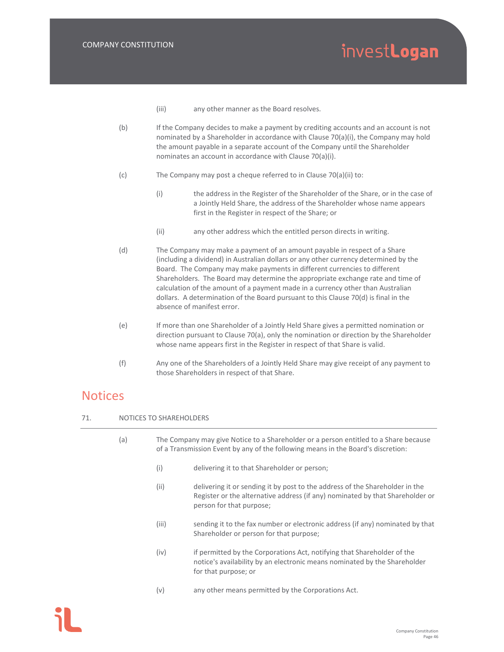- (iii) any other manner as the Board resolves.
- (b) If the Company decides to make a payment by crediting accounts and an account is not nominated by a Shareholder in accordance with Clause 70(a)(i), the Company may hold the amount payable in a separate account of the Company until the Shareholder nominates an account in accordance with Clause 70(a)(i).
- (c) The Company may post a cheque referred to in Clause 70(a)(ii) to:
	- (i) the address in the Register of the Shareholder of the Share, or in the case of a Jointly Held Share, the address of the Shareholder whose name appears first in the Register in respect of the Share; or
	- (ii) any other address which the entitled person directs in writing.
- (d) The Company may make a payment of an amount payable in respect of a Share (including a dividend) in Australian dollars or any other currency determined by the Board. The Company may make payments in different currencies to different Shareholders. The Board may determine the appropriate exchange rate and time of calculation of the amount of a payment made in a currency other than Australian dollars. A determination of the Board pursuant to this Clause 70(d) is final in the absence of manifest error.
- (e) If more than one Shareholder of a Jointly Held Share gives a permitted nomination or direction pursuant to Clause 70(a), only the nomination or direction by the Shareholder whose name appears first in the Register in respect of that Share is valid.
- (f) Any one of the Shareholders of a Jointly Held Share may give receipt of any payment to those Shareholders in respect of that Share.

### **Notices**

#### 71. NOTICES TO SHAREHOLDERS

(a) The Company may give Notice to a Shareholder or a person entitled to a Share because of a Transmission Event by any of the following means in the Board's discretion: (i) delivering it to that Shareholder or person; (ii) delivering it or sending it by post to the address of the Shareholder in the Register or the alternative address (if any) nominated by that Shareholder or person for that purpose; (iii) sending it to the fax number or electronic address (if any) nominated by that Shareholder or person for that purpose; (iv) if permitted by the Corporations Act, notifying that Shareholder of the notice's availability by an electronic means nominated by the Shareholder for that purpose; or (v) any other means permitted by the Corporations Act.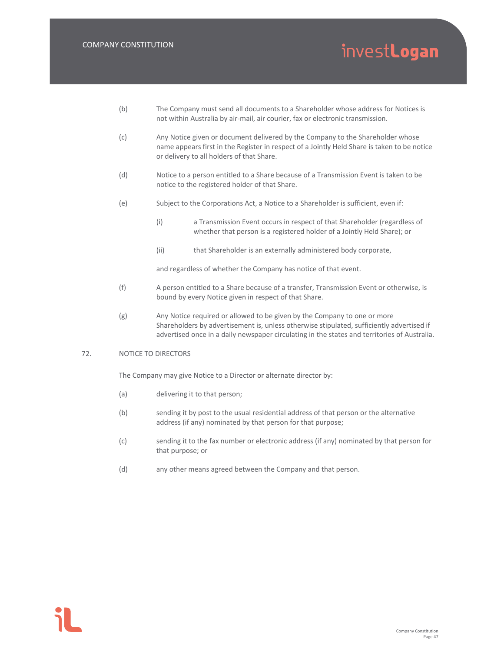- (b) The Company must send all documents to a Shareholder whose address for Notices is not within Australia by air‐mail, air courier, fax or electronic transmission.
- (c) Any Notice given or document delivered by the Company to the Shareholder whose name appears first in the Register in respect of a Jointly Held Share is taken to be notice or delivery to all holders of that Share.
- (d) Notice to a person entitled to a Share because of a Transmission Event is taken to be notice to the registered holder of that Share.
- (e) Subject to the Corporations Act, a Notice to a Shareholder is sufficient, even if:
	- (i) a Transmission Event occurs in respect of that Shareholder (regardless of whether that person is a registered holder of a Jointly Held Share); or
	- (ii) that Shareholder is an externally administered body corporate,

and regardless of whether the Company has notice of that event.

- (f) A person entitled to a Share because of a transfer, Transmission Event or otherwise, is bound by every Notice given in respect of that Share.
- (g) Any Notice required or allowed to be given by the Company to one or more Shareholders by advertisement is, unless otherwise stipulated, sufficiently advertised if advertised once in a daily newspaper circulating in the states and territories of Australia.

#### 72. NOTICE TO DIRECTORS

The Company may give Notice to a Director or alternate director by:

- (a) delivering it to that person;
- (b) sending it by post to the usual residential address of that person or the alternative address (if any) nominated by that person for that purpose;
- (c) sending it to the fax number or electronic address (if any) nominated by that person for that purpose; or
- (d) any other means agreed between the Company and that person.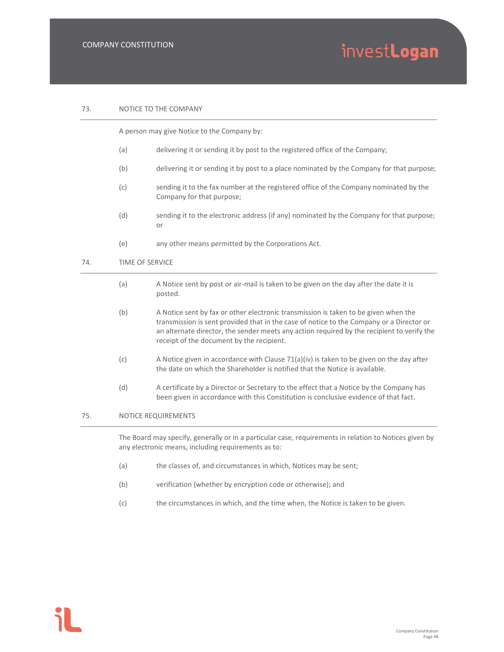#### 73. NOTICE TO THE COMPANY

A person may give Notice to the Company by:

- (a) delivering it or sending it by post to the registered office of the Company;
- (b) delivering it or sending it by post to a place nominated by the Company for that purpose;
- (c) sending it to the fax number at the registered office of the Company nominated by the Company for that purpose;
- (d) sending it to the electronic address (if any) nominated by the Company for that purpose; or
- (e) any other means permitted by the Corporations Act.

#### 74. TIME OF SERVICE

- (a) A Notice sent by post or air‐mail is taken to be given on the day after the date it is posted.
- (b) A Notice sent by fax or other electronic transmission is taken to be given when the transmission is sent provided that in the case of notice to the Company or a Director or an alternate director, the sender meets any action required by the recipient to verify the receipt of the document by the recipient.
- (c) A Notice given in accordance with Clause  $71(a)(iv)$  is taken to be given on the day after the date on which the Shareholder is notified that the Notice is available.
- (d) A certificate by a Director or Secretary to the effect that a Notice by the Company has been given in accordance with this Constitution is conclusive evidence of that fact.

#### 75. NOTICE REQUIREMENTS

The Board may specify, generally or in a particular case, requirements in relation to Notices given by any electronic means, including requirements as to:

- (a) the classes of, and circumstances in which, Notices may be sent;
- (b) verification (whether by encryption code or otherwise); and
- (c) the circumstances in which, and the time when, the Notice is taken to be given.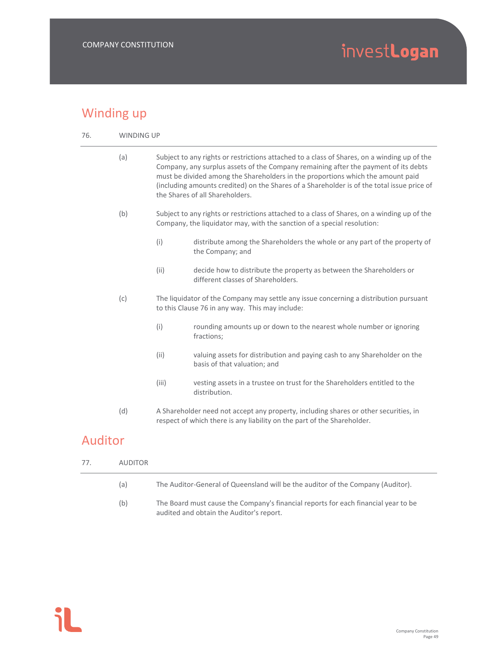### Winding up

76. WINDING UP

(a) Subject to any rights or restrictions attached to a class of Shares, on a winding up of the Company, any surplus assets of the Company remaining after the payment of its debts must be divided among the Shareholders in the proportions which the amount paid (including amounts credited) on the Shares of a Shareholder is of the total issue price of the Shares of all Shareholders. (b) Subject to any rights or restrictions attached to a class of Shares, on a winding up of the Company, the liquidator may, with the sanction of a special resolution: (i) distribute among the Shareholders the whole or any part of the property of the Company; and (ii) decide how to distribute the property as between the Shareholders or different classes of Shareholders. (c) The liquidator of the Company may settle any issue concerning a distribution pursuant to this Clause 76 in any way. This may include: (i) rounding amounts up or down to the nearest whole number or ignoring fractions; (ii) valuing assets for distribution and paying cash to any Shareholder on the basis of that valuation; and (iii) vesting assets in a trustee on trust for the Shareholders entitled to the distribution. (d) A Shareholder need not accept any property, including shares or other securities, in respect of which there is any liability on the part of the Shareholder.

### Auditor

77.

| AUDITOR |                                                                                                                                |
|---------|--------------------------------------------------------------------------------------------------------------------------------|
| (a)     | The Auditor-General of Queensland will be the auditor of the Company (Auditor).                                                |
| (b)     | The Board must cause the Company's financial reports for each financial year to be<br>audited and obtain the Auditor's report. |